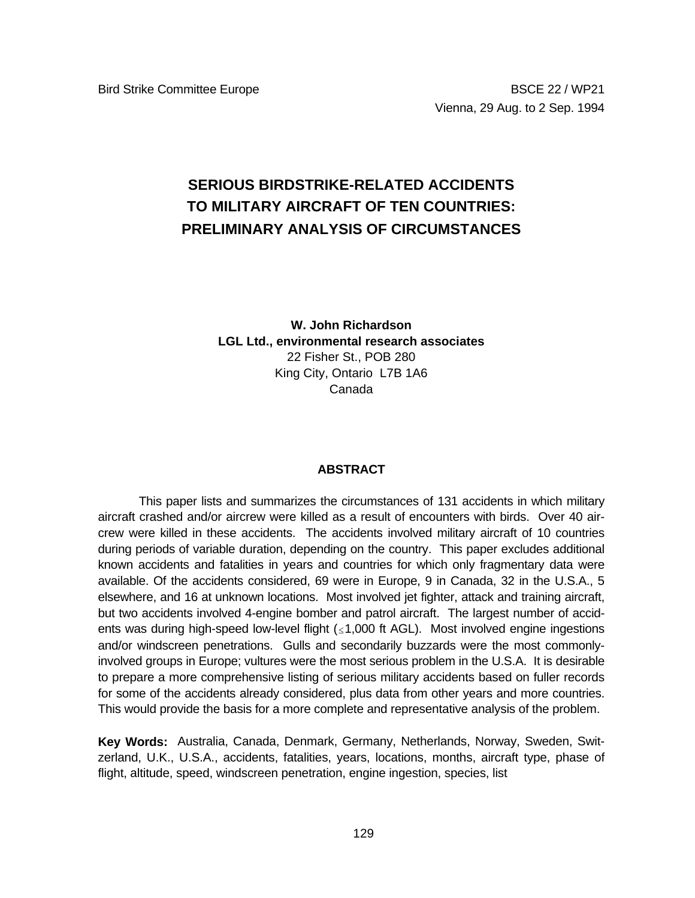# **SERIOUS BIRDSTRIKE-RELATED ACCIDENTS TO MILITARY AIRCRAFT OF TEN COUNTRIES: PRELIMINARY ANALYSIS OF CIRCUMSTANCES**

**W. John Richardson LGL Ltd., environmental research associates** 22 Fisher St., POB 280 King City, Ontario L7B 1A6 Canada

## **ABSTRACT**

This paper lists and summarizes the circumstances of 131 accidents in which military aircraft crashed and/or aircrew were killed as a result of encounters with birds. Over 40 aircrew were killed in these accidents. The accidents involved military aircraft of 10 countries during periods of variable duration, depending on the country. This paper excludes additional known accidents and fatalities in years and countries for which only fragmentary data were available. Of the accidents considered, 69 were in Europe, 9 in Canada, 32 in the U.S.A., 5 elsewhere, and 16 at unknown locations. Most involved jet fighter, attack and training aircraft, but two accidents involved 4-engine bomber and patrol aircraft. The largest number of accidents was during high-speed low-level flight  $( \leq 1,000$  ft AGL). Most involved engine ingestions and/or windscreen penetrations. Gulls and secondarily buzzards were the most commonlyinvolved groups in Europe; vultures were the most serious problem in the U.S.A. It is desirable to prepare a more comprehensive listing of serious military accidents based on fuller records for some of the accidents already considered, plus data from other years and more countries. This would provide the basis for a more complete and representative analysis of the problem.

**Key Words:** Australia, Canada, Denmark, Germany, Netherlands, Norway, Sweden, Switzerland, U.K., U.S.A., accidents, fatalities, years, locations, months, aircraft type, phase of flight, altitude, speed, windscreen penetration, engine ingestion, species, list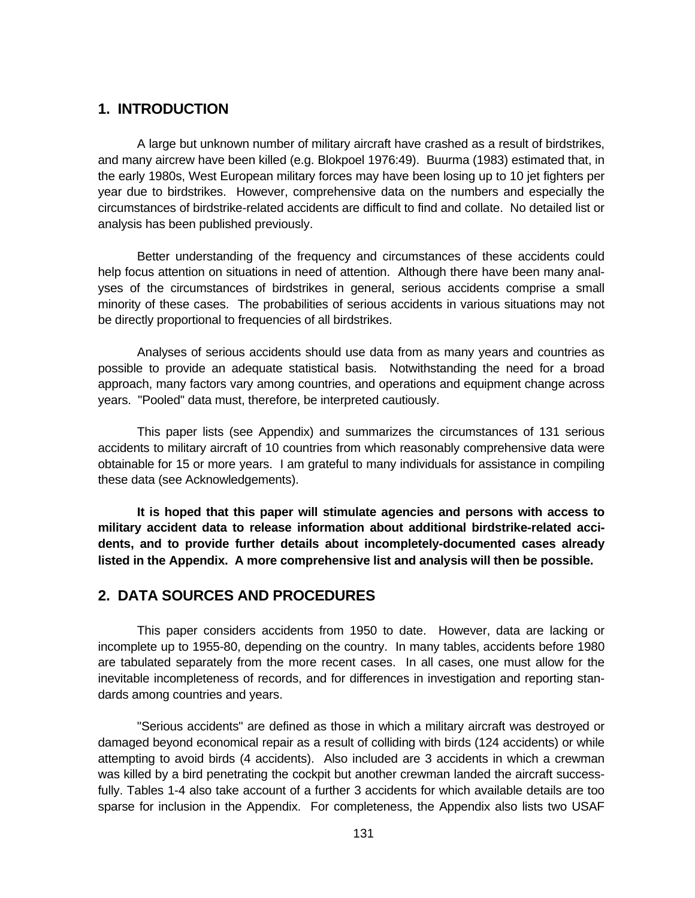# **1. INTRODUCTION**

A large but unknown number of military aircraft have crashed as a result of birdstrikes, and many aircrew have been killed (e.g. Blokpoel 1976:49). Buurma (1983) estimated that, in the early 1980s, West European military forces may have been losing up to 10 jet fighters per year due to birdstrikes. However, comprehensive data on the numbers and especially the circumstances of birdstrike-related accidents are difficult to find and collate. No detailed list or analysis has been published previously.

Better understanding of the frequency and circumstances of these accidents could help focus attention on situations in need of attention. Although there have been many analyses of the circumstances of birdstrikes in general, serious accidents comprise a small minority of these cases. The probabilities of serious accidents in various situations may not be directly proportional to frequencies of all birdstrikes.

Analyses of serious accidents should use data from as many years and countries as possible to provide an adequate statistical basis. Notwithstanding the need for a broad approach, many factors vary among countries, and operations and equipment change across years. "Pooled" data must, therefore, be interpreted cautiously.

This paper lists (see Appendix) and summarizes the circumstances of 131 serious accidents to military aircraft of 10 countries from which reasonably comprehensive data were obtainable for 15 or more years. I am grateful to many individuals for assistance in compiling these data (see Acknowledgements).

**It is hoped that this paper will stimulate agencies and persons with access to military accident data to release information about additional birdstrike-related accidents, and to provide further details about incompletely-documented cases already listed in the Appendix. A more comprehensive list and analysis will then be possible.**

# **2. DATA SOURCES AND PROCEDURES**

This paper considers accidents from 1950 to date. However, data are lacking or incomplete up to 1955-80, depending on the country. In many tables, accidents before 1980 are tabulated separately from the more recent cases. In all cases, one must allow for the inevitable incompleteness of records, and for differences in investigation and reporting standards among countries and years.

"Serious accidents" are defined as those in which a military aircraft was destroyed or damaged beyond economical repair as a result of colliding with birds (124 accidents) or while attempting to avoid birds (4 accidents). Also included are 3 accidents in which a crewman was killed by a bird penetrating the cockpit but another crewman landed the aircraft successfully. Tables 1-4 also take account of a further 3 accidents for which available details are too sparse for inclusion in the Appendix. For completeness, the Appendix also lists two USAF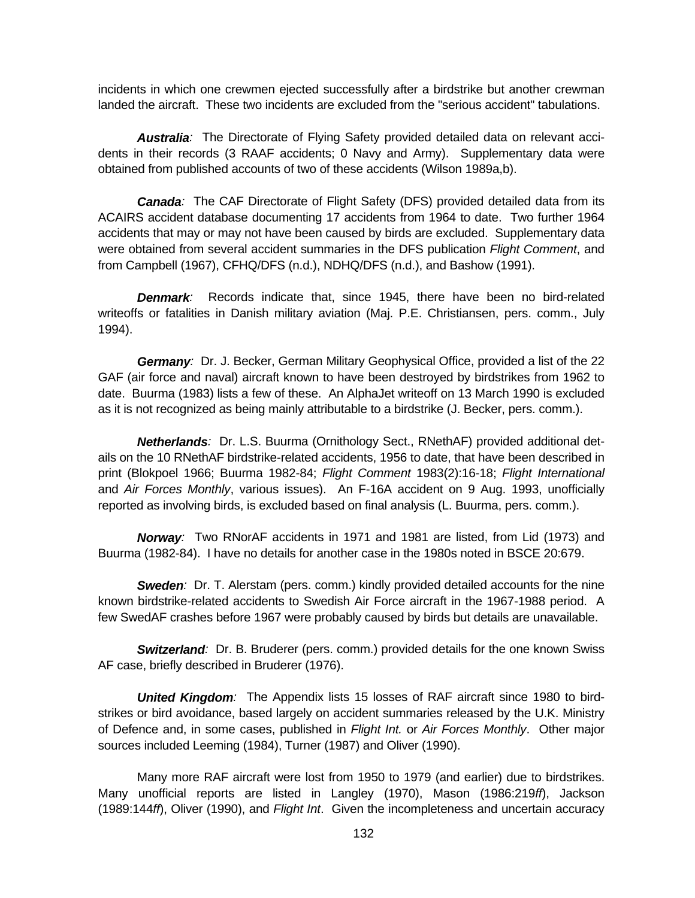incidents in which one crewmen ejected successfully after a birdstrike but another crewman landed the aircraft. These two incidents are excluded from the "serious accident" tabulations.

*Australia:* The Directorate of Flying Safety provided detailed data on relevant accidents in their records (3 RAAF accidents; 0 Navy and Army). Supplementary data were obtained from published accounts of two of these accidents (Wilson 1989a,b).

*Canada:* The CAF Directorate of Flight Safety (DFS) provided detailed data from its ACAIRS accident database documenting 17 accidents from 1964 to date. Two further 1964 accidents that may or may not have been caused by birds are excluded. Supplementary data were obtained from several accident summaries in the DFS publication *Flight Comment*, and from Campbell (1967), CFHQ/DFS (n.d.), NDHQ/DFS (n.d.), and Bashow (1991).

*Denmark:* Records indicate that, since 1945, there have been no bird-related writeoffs or fatalities in Danish military aviation (Maj. P.E. Christiansen, pers. comm., July 1994).

*Germany:* Dr. J. Becker, German Military Geophysical Office, provided a list of the 22 GAF (air force and naval) aircraft known to have been destroyed by birdstrikes from 1962 to date. Buurma (1983) lists a few of these. An AlphaJet writeoff on 13 March 1990 is excluded as it is not recognized as being mainly attributable to a birdstrike (J. Becker, pers. comm.).

*Netherlands:* Dr. L.S. Buurma (Ornithology Sect., RNethAF) provided additional details on the 10 RNethAF birdstrike-related accidents, 1956 to date, that have been described in print (Blokpoel 1966; Buurma 1982-84; *Flight Comment* 1983(2):16-18; *Flight International* and *Air Forces Monthly*, various issues). An F-16A accident on 9 Aug. 1993, unofficially reported as involving birds, is excluded based on final analysis (L. Buurma, pers. comm.).

*Norway:* Two RNorAF accidents in 1971 and 1981 are listed, from Lid (1973) and Buurma (1982-84). I have no details for another case in the 1980s noted in BSCE 20:679.

*Sweden:* Dr. T. Alerstam (pers. comm.) kindly provided detailed accounts for the nine known birdstrike-related accidents to Swedish Air Force aircraft in the 1967-1988 period. A few SwedAF crashes before 1967 were probably caused by birds but details are unavailable.

*Switzerland:* Dr. B. Bruderer (pers. comm.) provided details for the one known Swiss AF case, briefly described in Bruderer (1976).

*United Kingdom:* The Appendix lists 15 losses of RAF aircraft since 1980 to birdstrikes or bird avoidance, based largely on accident summaries released by the U.K. Ministry of Defence and, in some cases, published in *Flight Int.* or *Air Forces Monthly*. Other major sources included Leeming (1984), Turner (1987) and Oliver (1990).

Many more RAF aircraft were lost from 1950 to 1979 (and earlier) due to birdstrikes. Many unofficial reports are listed in Langley (1970), Mason (1986:219*ff*), Jackson (1989:144*ff*), Oliver (1990), and *Flight Int*. Given the incompleteness and uncertain accuracy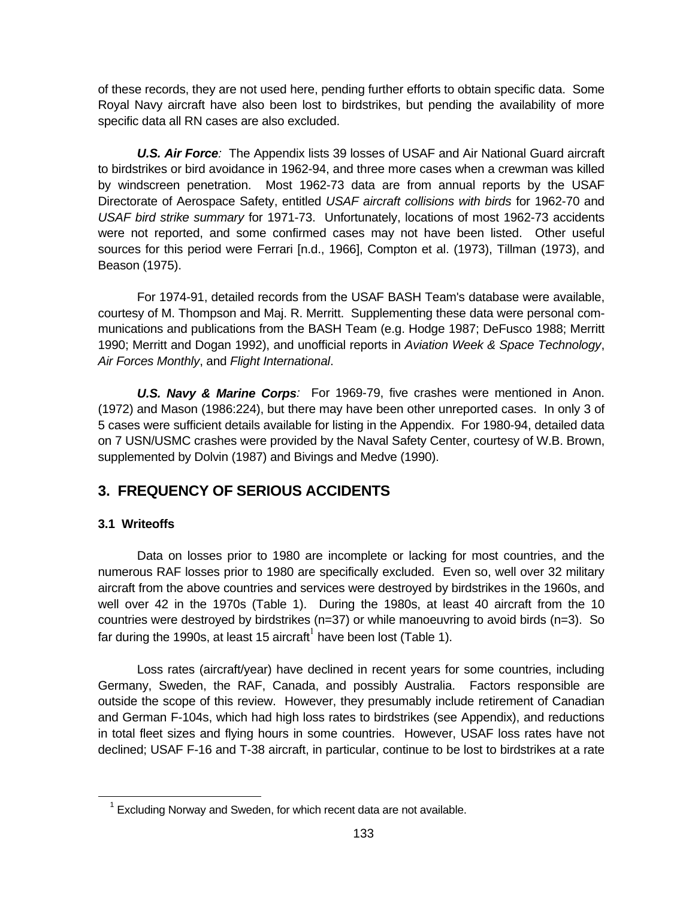of these records, they are not used here, pending further efforts to obtain specific data. Some Royal Navy aircraft have also been lost to birdstrikes, but pending the availability of more specific data all RN cases are also excluded.

*U.S. Air Force:* The Appendix lists 39 losses of USAF and Air National Guard aircraft to birdstrikes or bird avoidance in 1962-94, and three more cases when a crewman was killed by windscreen penetration. Most 1962-73 data are from annual reports by the USAF Directorate of Aerospace Safety, entitled *USAF aircraft collisions with birds* for 1962-70 and *USAF bird strike summary* for 1971-73. Unfortunately, locations of most 1962-73 accidents were not reported, and some confirmed cases may not have been listed. Other useful sources for this period were Ferrari [n.d., 1966], Compton et al. (1973), Tillman (1973), and Beason (1975).

For 1974-91, detailed records from the USAF BASH Team's database were available, courtesy of M. Thompson and Maj. R. Merritt. Supplementing these data were personal communications and publications from the BASH Team (e.g. Hodge 1987; DeFusco 1988; Merritt 1990; Merritt and Dogan 1992), and unofficial reports in *Aviation Week & Space Technology*, *Air Forces Monthly*, and *Flight International*.

*U.S. Navy & Marine Corps:* For 1969-79, five crashes were mentioned in Anon. (1972) and Mason (1986:224), but there may have been other unreported cases. In only 3 of 5 cases were sufficient details available for listing in the Appendix. For 1980-94, detailed data on 7 USN/USMC crashes were provided by the Naval Safety Center, courtesy of W.B. Brown, supplemented by Dolvin (1987) and Bivings and Medve (1990).

# **3. FREQUENCY OF SERIOUS ACCIDENTS**

# **3.1 Writeoffs**

 $\overline{a}$ 

Data on losses prior to 1980 are incomplete or lacking for most countries, and the numerous RAF losses prior to 1980 are specifically excluded. Even so, well over 32 military aircraft from the above countries and services were destroyed by birdstrikes in the 1960s, and well over 42 in the 1970s (Table 1). During the 1980s, at least 40 aircraft from the 10 countries were destroyed by birdstrikes (n=37) or while manoeuvring to avoid birds (n=3). So far during the 1990s, at least 15 aircraft<sup>1</sup> have been lost (Table 1).

Loss rates (aircraft/year) have declined in recent years for some countries, including Germany, Sweden, the RAF, Canada, and possibly Australia. Factors responsible are outside the scope of this review. However, they presumably include retirement of Canadian and German F-104s, which had high loss rates to birdstrikes (see Appendix), and reductions in total fleet sizes and flying hours in some countries. However, USAF loss rates have not declined; USAF F-16 and T-38 aircraft, in particular, continue to be lost to birdstrikes at a rate

 $1$  Excluding Norway and Sweden, for which recent data are not available.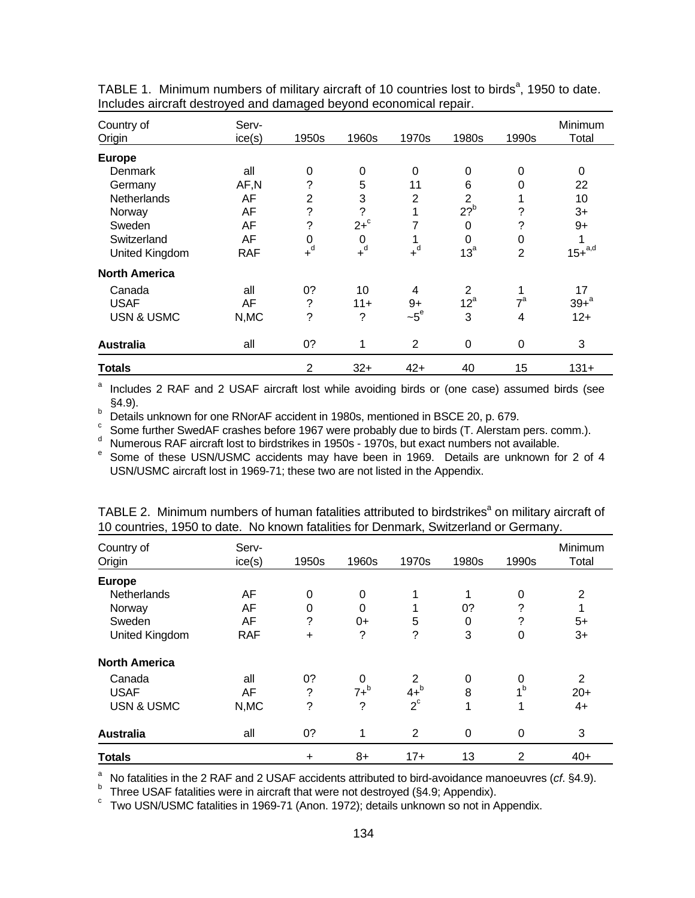| Country of<br><b>Origin</b> | Serv-<br>ice(s) | 1950s              | 1960s              | 1970s            | 1980s           | 1990s            | Minimum<br>Total |
|-----------------------------|-----------------|--------------------|--------------------|------------------|-----------------|------------------|------------------|
| <b>Europe</b>               |                 |                    |                    |                  |                 |                  |                  |
| Denmark                     | all             | 0                  | $\mathbf 0$        | 0                | 0               | $\Omega$         | 0                |
| Germany                     | AF,N            | ?                  | 5                  | 11               | 6               | 0                | 22               |
| Netherlands                 | AF              | $\overline{2}$     | 3                  | $\overline{2}$   | $\overline{2}$  |                  | 10               |
| Norway                      | AF              | $\tilde{?}$        | $\overline{\cdot}$ | 1                | $22^b$          | ?                | $3+$             |
| Sweden                      | AF              | $\overline{\cdot}$ | $2+$ <sup>c</sup>  | 7                | 0               | ?                | $9+$             |
| Switzerland                 | AF              | 0                  | 0                  | 1                | 0               | 0                | 1                |
| United Kingdom              | <b>RAF</b>      | $+$ <sup>d</sup>   | $+$ <sup>d</sup>   | $+$ <sup>d</sup> | 13 <sup>a</sup> | $\overline{2}$   | $15+^{a,d}$      |
| <b>North America</b>        |                 |                    |                    |                  |                 |                  |                  |
| Canada                      | all             | 0?                 | 10                 | 4                | 2               |                  | 17               |
| <b>USAF</b>                 | AF              | ?                  | $11 +$             | $9+$             | $12^a$          | $7^{\mathrm{a}}$ | $39 + a^2$       |
| <b>USN &amp; USMC</b>       | N,MC            | ?                  | ?                  | $-5^\circ$       | 3               | 4                | $12+$            |
| <b>Australia</b>            | all             | 0?                 | 1                  | 2                | 0               | $\Omega$         | 3                |
| <b>Totals</b>               |                 | $\overline{2}$     | $32+$              | $42+$            | 40              | 15               | $131 +$          |

TABLE 1. Minimum numbers of military aircraft of 10 countries lost to birds<sup>a</sup>, 1950 to date. Includes aircraft destroyed and damaged beyond economical repair.

<sup>a</sup> Includes 2 RAF and 2 USAF aircraft lost while avoiding birds or (one case) assumed birds (see

§4.9).<br>
Details unknown for one RNorAF accident in 1980s, mentioned in BSCE 20, p. 679.<br>
Come further SwedAF crashes before 1967 were probably due to birds (T. Alerstam pers. comm.).<br>
Numerous RAF aircraft lost to birdstri USN/USMC aircraft lost in 1969-71; these two are not listed in the Appendix.

| Country of<br>Origin  | Serv-<br>ice(s) | 1950s     | 1960s       | 1970s       | 1980s       | 1990s          | Minimum<br>Total |
|-----------------------|-----------------|-----------|-------------|-------------|-------------|----------------|------------------|
| <b>Europe</b>         |                 |           |             |             |             |                |                  |
| Netherlands           | AF              | 0         | $\mathbf 0$ | 1           | 1           | 0              | 2                |
| Norway                | AF              | 0         | 0           | 4           | 0?          | ?              | 1                |
| Sweden                | AF              | ?         | $0+$        | 5           | 0           | ?              | $5+$             |
| United Kingdom        | <b>RAF</b>      | $\ddot{}$ | ?           | ?           | 3           | $\Omega$       | $3+$             |
| <b>North America</b>  |                 |           |             |             |             |                |                  |
| Canada                | all             | 0?        | 0           | 2           | 0           | 0              | 2                |
| <b>USAF</b>           | AF              | ?         | $7+^b$      | $4+^b$      | 8           | 1 <sup>b</sup> | $20+$            |
| <b>USN &amp; USMC</b> | N, MC           | ?         | ?           | $2^{\circ}$ | 1           |                | $4+$             |
| <b>Australia</b>      | all             | 0?        | 1           | 2           | $\mathbf 0$ | 0              | 3                |
| <b>Totals</b>         |                 | $\ddot{}$ | $8+$        | $17+$       | 13          | $\overline{2}$ | $40+$            |

TABLE 2. Minimum numbers of human fatalities attributed to birdstrikes<sup>a</sup> on military aircraft of 10 countries, 1950 to date. No known fatalities for Denmark, Switzerland or Germany.

<sup>a</sup> No fatalities in the 2 RAF and 2 USAF accidents attributed to bird-avoidance manoeuvres (cf. §4.9).<br>
<sup>b</sup> Three USAF fatalities were in aircraft that were not destroyed (§4.9; Appendix).<br>
<sup>c</sup> Two USN/USMC fatalities in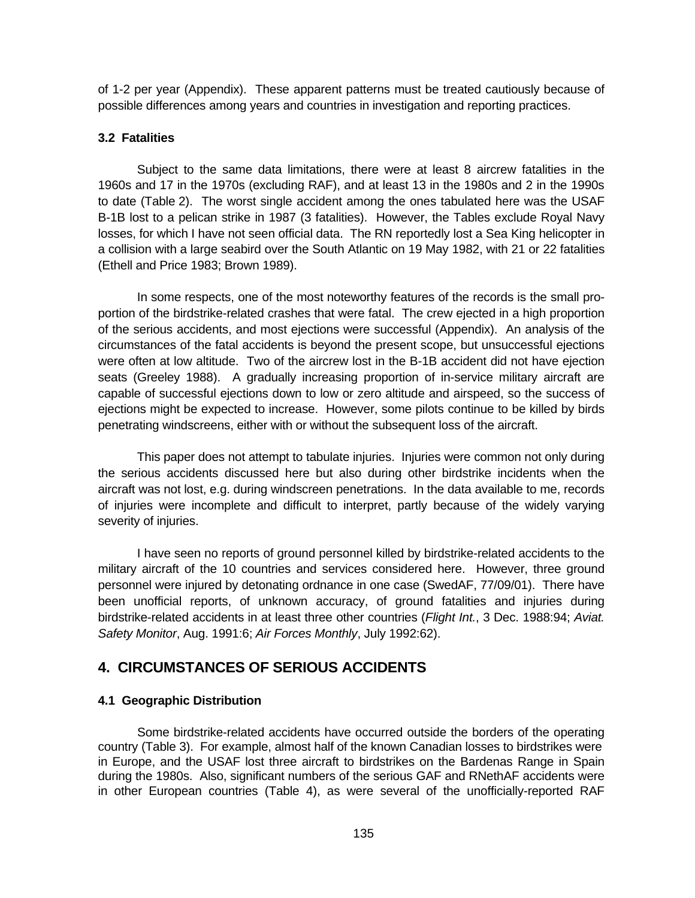of 1-2 per year (Appendix). These apparent patterns must be treated cautiously because of possible differences among years and countries in investigation and reporting practices.

#### **3.2 Fatalities**

Subject to the same data limitations, there were at least 8 aircrew fatalities in the 1960s and 17 in the 1970s (excluding RAF), and at least 13 in the 1980s and 2 in the 1990s to date (Table 2). The worst single accident among the ones tabulated here was the USAF B-1B lost to a pelican strike in 1987 (3 fatalities). However, the Tables exclude Royal Navy losses, for which I have not seen official data. The RN reportedly lost a Sea King helicopter in a collision with a large seabird over the South Atlantic on 19 May 1982, with 21 or 22 fatalities (Ethell and Price 1983; Brown 1989).

In some respects, one of the most noteworthy features of the records is the small proportion of the birdstrike-related crashes that were fatal. The crew ejected in a high proportion of the serious accidents, and most ejections were successful (Appendix). An analysis of the circumstances of the fatal accidents is beyond the present scope, but unsuccessful ejections were often at low altitude. Two of the aircrew lost in the B-1B accident did not have ejection seats (Greeley 1988). A gradually increasing proportion of in-service military aircraft are capable of successful ejections down to low or zero altitude and airspeed, so the success of ejections might be expected to increase. However, some pilots continue to be killed by birds penetrating windscreens, either with or without the subsequent loss of the aircraft.

This paper does not attempt to tabulate injuries. Injuries were common not only during the serious accidents discussed here but also during other birdstrike incidents when the aircraft was not lost, e.g. during windscreen penetrations. In the data available to me, records of injuries were incomplete and difficult to interpret, partly because of the widely varying severity of injuries.

I have seen no reports of ground personnel killed by birdstrike-related accidents to the military aircraft of the 10 countries and services considered here. However, three ground personnel were injured by detonating ordnance in one case (SwedAF, 77/09/01). There have been unofficial reports, of unknown accuracy, of ground fatalities and injuries during birdstrike-related accidents in at least three other countries (*Flight Int.*, 3 Dec. 1988:94; *Aviat. Safety Monitor*, Aug. 1991:6; *Air Forces Monthly*, July 1992:62).

# **4. CIRCUMSTANCES OF SERIOUS ACCIDENTS**

### **4.1 Geographic Distribution**

Some birdstrike-related accidents have occurred outside the borders of the operating country (Table 3). For example, almost half of the known Canadian losses to birdstrikes were in Europe, and the USAF lost three aircraft to birdstrikes on the Bardenas Range in Spain during the 1980s. Also, significant numbers of the serious GAF and RNethAF accidents were in other European countries (Table 4), as were several of the unofficially-reported RAF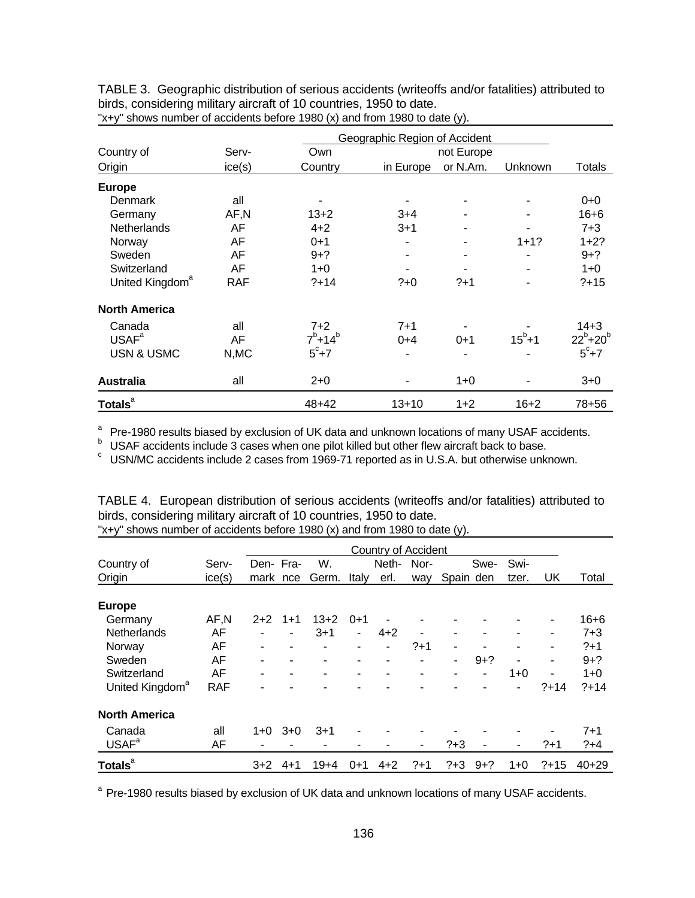TABLE 3. Geographic distribution of serious accidents (writeoffs and/or fatalities) attributed to birds, considering military aircraft of 10 countries, 1950 to date.

|                             | Geographic Region of Accident |               |           |            |                |                 |  |  |  |  |  |
|-----------------------------|-------------------------------|---------------|-----------|------------|----------------|-----------------|--|--|--|--|--|
| Country of                  | Serv-                         | Own           |           | not Europe |                |                 |  |  |  |  |  |
| Origin                      | ice(s)                        | Country       | in Europe | or N.Am.   | Unknown        | Totals          |  |  |  |  |  |
| <b>Europe</b>               |                               |               |           |            |                |                 |  |  |  |  |  |
| Denmark                     | all                           |               |           |            |                | $0 + 0$         |  |  |  |  |  |
| Germany                     | AF,N                          | $13+2$        | $3+4$     | ۰          | ۰              | $16 + 6$        |  |  |  |  |  |
| Netherlands                 | AF                            | $4 + 2$       | $3 + 1$   | ۰          | ۰              | $7 + 3$         |  |  |  |  |  |
| Norway                      | AF                            | $0 + 1$       |           |            | $1 + 1?$       | $1+2?$          |  |  |  |  |  |
| Sweden                      | AF                            | $9 + ?$       |           |            |                | $9 + ?$         |  |  |  |  |  |
| Switzerland                 | AF                            | $1+0$         |           |            | $\blacksquare$ | $1+0$           |  |  |  |  |  |
| United Kingdom <sup>a</sup> | <b>RAF</b>                    | $?+14$        | $?+0$     | $?+1$      | $\blacksquare$ | $?+15$          |  |  |  |  |  |
| <b>North America</b>        |                               |               |           |            |                |                 |  |  |  |  |  |
| Canada                      | all                           | $7 + 2$       | $7 + 1$   |            |                | $14 + 3$        |  |  |  |  |  |
| USAF <sup>a</sup>           | AF                            | $7^b + 14^b$  | $0 + 4$   | $0 + 1$    | $15^{b}+1$     | $22^{b}+20^{b}$ |  |  |  |  |  |
| <b>USN &amp; USMC</b>       | N, MC                         | $5^\circ + 7$ |           |            |                | $5^\circ + 7$   |  |  |  |  |  |
| <b>Australia</b>            | all                           | $2 + 0$       |           | $1+0$      |                | $3+0$           |  |  |  |  |  |
| <b>Totals</b> <sup>a</sup>  |                               | 48+42         | $13 + 10$ | $1+2$      | $16 + 2$       | 78+56           |  |  |  |  |  |

"x+y" shows number of accidents before 1980 (x) and from 1980 to date (y).

<sup>a</sup> Pre-1980 results biased by exclusion of UK data and unknown locations of many USAF accidents.<br>
<sup>b</sup> USAF accidents include 3 cases when one pilot killed but other flew aircraft back to base.<br>
<sup>c</sup> USN/MC accidents inclu

|                             |            |          |         |          |              |                            |       | $\cdot$   |         |         |        |          |
|-----------------------------|------------|----------|---------|----------|--------------|----------------------------|-------|-----------|---------|---------|--------|----------|
|                             |            |          |         |          |              | <b>Country of Accident</b> |       |           |         |         |        |          |
| Country of                  | Serv-      | Den-Fra- |         | W.       |              | Neth-                      | Nor-  |           | Swe-    | Swi-    |        |          |
| Origin                      | ice(s)     | mark nce |         | Germ.    | <b>Italy</b> | erl.                       | way   | Spain den |         | tzer.   | UK     | Total    |
| <b>Europe</b>               |            |          |         |          |              |                            |       |           |         |         |        |          |
| Germany                     | AF,N       | $2+2$    | $1+1$   | $13 + 2$ | $0 + 1$      |                            |       |           |         |         | ۰      | $16 + 6$ |
| Netherlands                 | AF         | -        | ۰       | $3 + 1$  | ۰            | $4 + 2$                    |       | ۰         |         |         | ۰      | $7 + 3$  |
| Norway                      | AF         | ۰        | ۰       | ۰        | ۰            | $\overline{\phantom{a}}$   | $?+1$ | ۰         |         |         | ۰      | $?+1$    |
| Sweden                      | AF         |          | -       |          | ۰            | ۰                          |       | -         | $9 + ?$ |         | ٠      | $9 + ?$  |
| Switzerland                 | AF         |          |         |          |              |                            |       |           | -       | $1 + 0$ |        | $1+0$    |
| United Kingdom <sup>a</sup> | <b>RAF</b> |          |         |          |              |                            |       |           |         | ۰       | $?+14$ | $?+14$   |
| <b>North America</b>        |            |          |         |          |              |                            |       |           |         |         |        |          |
| Canada                      | all        | $1 + 0$  | $3 + 0$ | $3 + 1$  |              |                            |       |           |         |         |        | $7 + 1$  |
| USAF <sup>a</sup>           | AF         |          |         |          |              |                            | ٠     | $? + 3$   | ۰       | ۰       | $?+1$  | $?+4$    |
| Totals <sup>a</sup>         |            | $3+2$    | $4 + 1$ | $19 + 4$ | $0 + 1$      | $4 + 2$                    | $?+1$ | $? + 3$   | $9+?$   | $1+0$   | $?+15$ | $40+29$  |

TABLE 4. European distribution of serious accidents (writeoffs and/or fatalities) attributed to birds, considering military aircraft of 10 countries, 1950 to date. "x+y" shows number of accidents before 1980 (x) and from 1980 to date (y).

<sup>a</sup> Pre-1980 results biased by exclusion of UK data and unknown locations of many USAF accidents.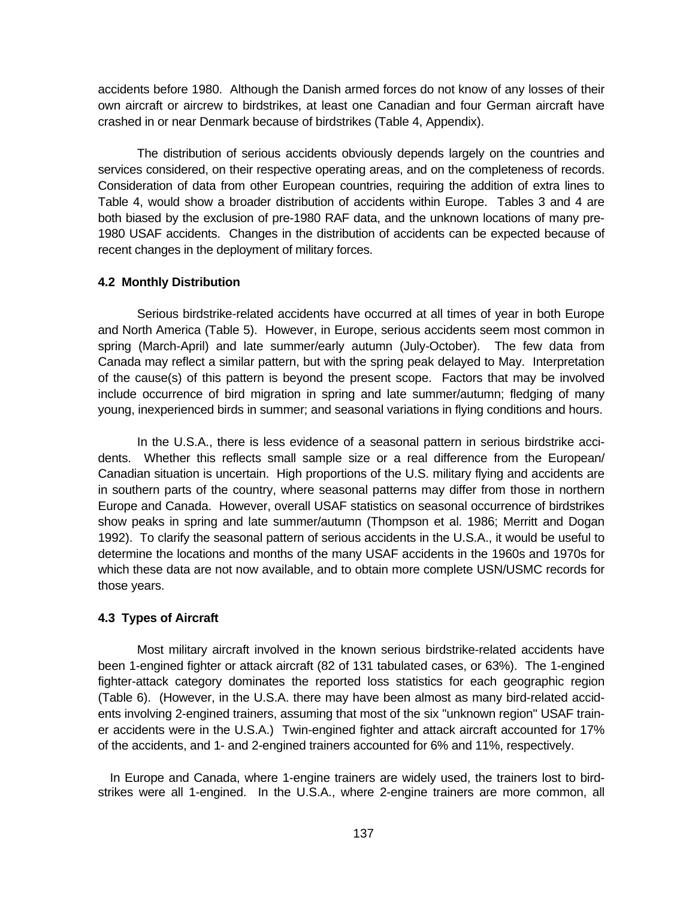accidents before 1980. Although the Danish armed forces do not know of any losses of their own aircraft or aircrew to birdstrikes, at least one Canadian and four German aircraft have crashed in or near Denmark because of birdstrikes (Table 4, Appendix).

The distribution of serious accidents obviously depends largely on the countries and services considered, on their respective operating areas, and on the completeness of records. Consideration of data from other European countries, requiring the addition of extra lines to Table 4, would show a broader distribution of accidents within Europe. Tables 3 and 4 are both biased by the exclusion of pre-1980 RAF data, and the unknown locations of many pre-1980 USAF accidents. Changes in the distribution of accidents can be expected because of recent changes in the deployment of military forces.

#### **4.2 Monthly Distribution**

Serious birdstrike-related accidents have occurred at all times of year in both Europe and North America (Table 5). However, in Europe, serious accidents seem most common in spring (March-April) and late summer/early autumn (July-October). The few data from Canada may reflect a similar pattern, but with the spring peak delayed to May. Interpretation of the cause(s) of this pattern is beyond the present scope. Factors that may be involved include occurrence of bird migration in spring and late summer/autumn; fledging of many young, inexperienced birds in summer; and seasonal variations in flying conditions and hours.

In the U.S.A., there is less evidence of a seasonal pattern in serious birdstrike accidents. Whether this reflects small sample size or a real difference from the European/ Canadian situation is uncertain. High proportions of the U.S. military flying and accidents are in southern parts of the country, where seasonal patterns may differ from those in northern Europe and Canada. However, overall USAF statistics on seasonal occurrence of birdstrikes show peaks in spring and late summer/autumn (Thompson et al. 1986; Merritt and Dogan 1992). To clarify the seasonal pattern of serious accidents in the U.S.A., it would be useful to determine the locations and months of the many USAF accidents in the 1960s and 1970s for which these data are not now available, and to obtain more complete USN/USMC records for those years.

#### **4.3 Types of Aircraft**

Most military aircraft involved in the known serious birdstrike-related accidents have been 1-engined fighter or attack aircraft (82 of 131 tabulated cases, or 63%). The 1-engined fighter-attack category dominates the reported loss statistics for each geographic region (Table 6). (However, in the U.S.A. there may have been almost as many bird-related accidents involving 2-engined trainers, assuming that most of the six "unknown region" USAF trainer accidents were in the U.S.A.) Twin-engined fighter and attack aircraft accounted for 17% of the accidents, and 1- and 2-engined trainers accounted for 6% and 11%, respectively.

In Europe and Canada, where 1-engine trainers are widely used, the trainers lost to birdstrikes were all 1-engined. In the U.S.A., where 2-engine trainers are more common, all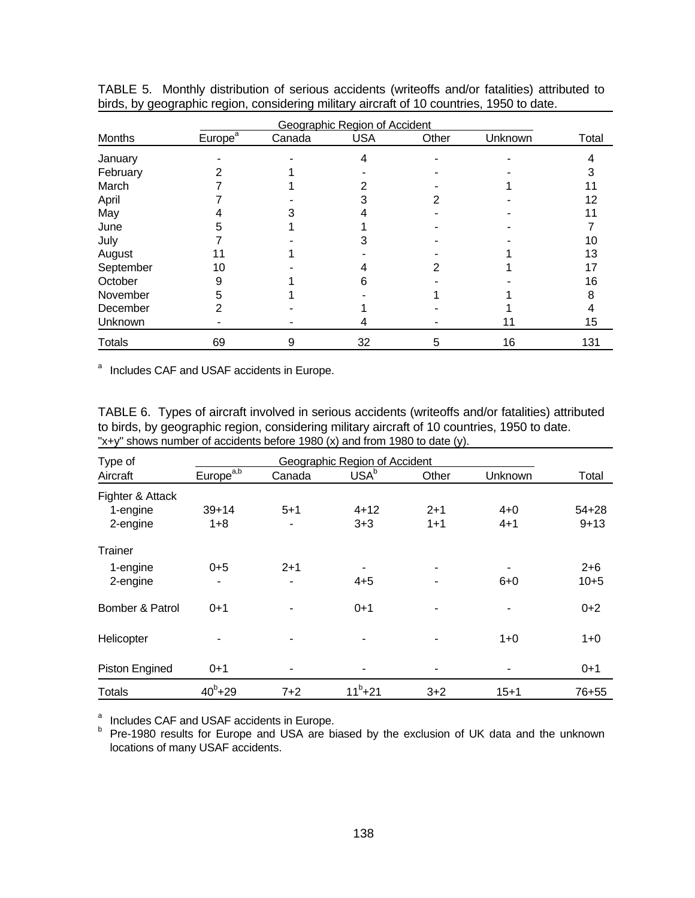|               |                     | Geographic Region of Accident |            |       |         |       |  |  |  |  |  |
|---------------|---------------------|-------------------------------|------------|-------|---------|-------|--|--|--|--|--|
| Months        | Europe <sup>a</sup> | Canada                        | <b>USA</b> | Other | Unknown | Total |  |  |  |  |  |
| January       |                     |                               | 4          |       |         |       |  |  |  |  |  |
| February      |                     |                               |            |       |         |       |  |  |  |  |  |
| March         |                     |                               |            |       |         |       |  |  |  |  |  |
| April         |                     |                               |            |       |         | 12    |  |  |  |  |  |
| May           |                     |                               |            |       |         |       |  |  |  |  |  |
| June          |                     |                               |            |       |         |       |  |  |  |  |  |
| July          |                     |                               |            |       |         | 10    |  |  |  |  |  |
| August        |                     |                               |            |       |         | 13    |  |  |  |  |  |
| September     | 10                  |                               |            |       |         | 17    |  |  |  |  |  |
| October       |                     |                               |            |       |         | 16    |  |  |  |  |  |
| November      |                     |                               |            |       |         |       |  |  |  |  |  |
| December      |                     |                               |            |       |         |       |  |  |  |  |  |
| Unknown       |                     |                               |            |       | 11      | 15    |  |  |  |  |  |
| <b>Totals</b> | 69                  | 9                             | 32         | 5     | 16      | 131   |  |  |  |  |  |

TABLE 5. Monthly distribution of serious accidents (writeoffs and/or fatalities) attributed to birds, by geographic region, considering military aircraft of 10 countries, 1950 to date.

<sup>a</sup> Includes CAF and USAF accidents in Europe.

TABLE 6. Types of aircraft involved in serious accidents (writeoffs and/or fatalities) attributed to birds, by geographic region, considering military aircraft of 10 countries, 1950 to date. "x+y" shows number of accidents before 1980 (x) and from 1980 to date (y).

| Type of          |                       | Geographic Region of Accident |                  |         |          |           |  |  |  |  |  |
|------------------|-----------------------|-------------------------------|------------------|---------|----------|-----------|--|--|--|--|--|
| Aircraft         | Europe <sup>a,b</sup> | Canada                        | USA <sup>b</sup> | Other   | Unknown  | Total     |  |  |  |  |  |
| Fighter & Attack |                       |                               |                  |         |          |           |  |  |  |  |  |
| 1-engine         | $39+14$               | $5 + 1$                       | $4 + 12$         | $2 + 1$ | $4 + 0$  | $54 + 28$ |  |  |  |  |  |
| 2-engine         | $1 + 8$               |                               | $3 + 3$          | $1 + 1$ | $4 + 1$  | $9 + 13$  |  |  |  |  |  |
| Trainer          |                       |                               |                  |         |          |           |  |  |  |  |  |
| 1-engine         | $0 + 5$               | $2 + 1$                       |                  |         |          | $2 + 6$   |  |  |  |  |  |
| 2-engine         |                       |                               | $4 + 5$          |         | $6 + 0$  | $10 + 5$  |  |  |  |  |  |
| Bomber & Patrol  | $0 + 1$               |                               | $0+1$            |         |          | $0 + 2$   |  |  |  |  |  |
| Helicopter       |                       |                               | ۰                |         | $1+0$    | $1+0$     |  |  |  |  |  |
| Piston Engined   | $0 + 1$               |                               |                  |         |          | $0 + 1$   |  |  |  |  |  |
| <b>Totals</b>    | $40^{b} + 29$         | $7 + 2$                       | $11^{b} + 21$    | $3 + 2$ | $15 + 1$ | 76+55     |  |  |  |  |  |

<sup>a</sup> Includes CAF and USAF accidents in Europe.<br><sup>b</sup> Pre-1980 results for Europe and USA are biased by the exclusion of UK data and the unknown locations of many USAF accidents.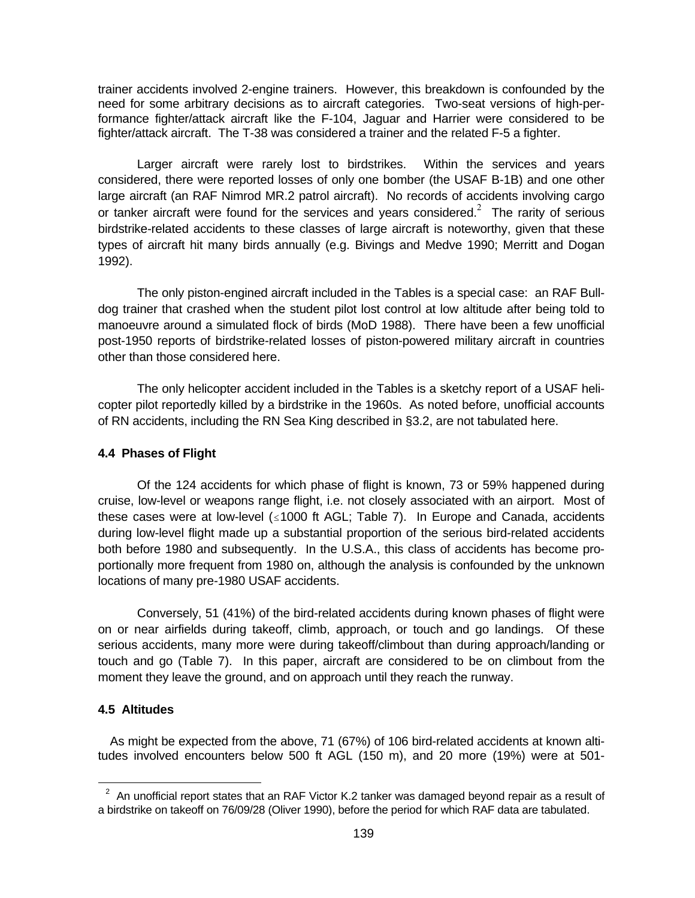trainer accidents involved 2-engine trainers. However, this breakdown is confounded by the need for some arbitrary decisions as to aircraft categories. Two-seat versions of high-performance fighter/attack aircraft like the F-104, Jaguar and Harrier were considered to be fighter/attack aircraft. The T-38 was considered a trainer and the related F-5 a fighter.

Larger aircraft were rarely lost to birdstrikes. Within the services and years considered, there were reported losses of only one bomber (the USAF B-1B) and one other large aircraft (an RAF Nimrod MR.2 patrol aircraft). No records of accidents involving cargo or tanker aircraft were found for the services and years considered.<sup>2</sup> The rarity of serious birdstrike-related accidents to these classes of large aircraft is noteworthy, given that these types of aircraft hit many birds annually (e.g. Bivings and Medve 1990; Merritt and Dogan 1992).

The only piston-engined aircraft included in the Tables is a special case: an RAF Bulldog trainer that crashed when the student pilot lost control at low altitude after being told to manoeuvre around a simulated flock of birds (MoD 1988). There have been a few unofficial post-1950 reports of birdstrike-related losses of piston-powered military aircraft in countries other than those considered here.

The only helicopter accident included in the Tables is a sketchy report of a USAF helicopter pilot reportedly killed by a birdstrike in the 1960s. As noted before, unofficial accounts of RN accidents, including the RN Sea King described in §3.2, are not tabulated here.

### **4.4 Phases of Flight**

Of the 124 accidents for which phase of flight is known, 73 or 59% happened during cruise, low-level or weapons range flight, i.e. not closely associated with an airport. Most of these cases were at low-level  $( \le 1000$  ft AGL; Table 7). In Europe and Canada, accidents during low-level flight made up a substantial proportion of the serious bird-related accidents both before 1980 and subsequently. In the U.S.A., this class of accidents has become proportionally more frequent from 1980 on, although the analysis is confounded by the unknown locations of many pre-1980 USAF accidents.

Conversely, 51 (41%) of the bird-related accidents during known phases of flight were on or near airfields during takeoff, climb, approach, or touch and go landings. Of these serious accidents, many more were during takeoff/climbout than during approach/landing or touch and go (Table 7). In this paper, aircraft are considered to be on climbout from the moment they leave the ground, and on approach until they reach the runway.

## **4.5 Altitudes**

 $\overline{a}$ 

As might be expected from the above, 71 (67%) of 106 bird-related accidents at known altitudes involved encounters below 500 ft AGL (150 m), and 20 more (19%) were at 501-

 $2^2$  An unofficial report states that an RAF Victor K.2 tanker was damaged beyond repair as a result of a birdstrike on takeoff on 76/09/28 (Oliver 1990), before the period for which RAF data are tabulated.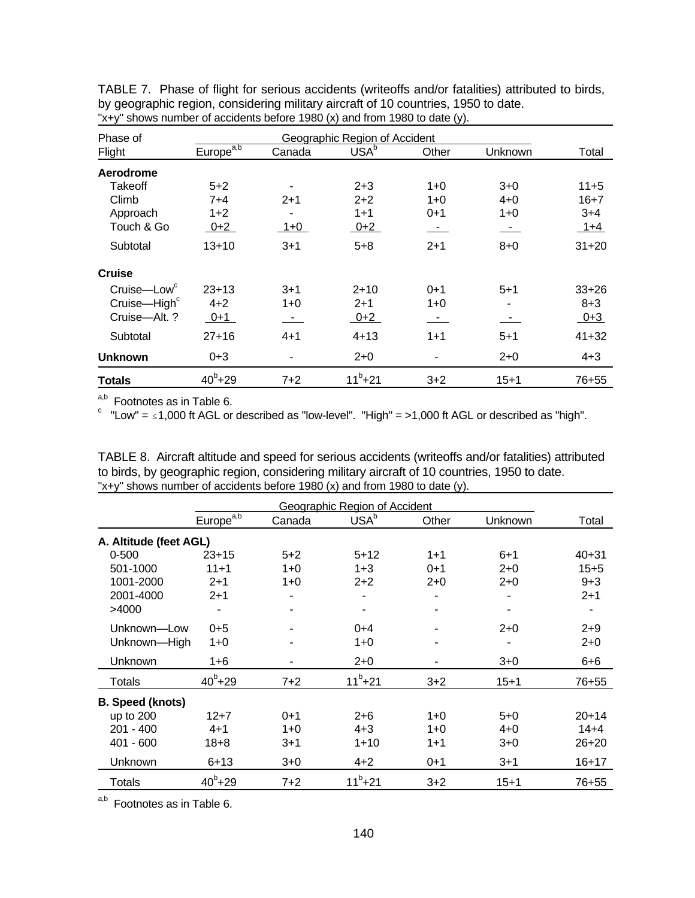| Phase of                 |                |         |                  |         |          |           |
|--------------------------|----------------|---------|------------------|---------|----------|-----------|
| Flight                   | $Europe^{a,b}$ | Canada  | USA <sup>b</sup> | Other   | Unknown  | Total     |
| Aerodrome                |                |         |                  |         |          |           |
| Takeoff                  | $5 + 2$        |         | $2 + 3$          | $1+0$   | $3+0$    | $11+5$    |
| Climb                    | $7+4$          | $2+1$   | $2+2$            | $1+0$   | $4 + 0$  | $16 + 7$  |
| Approach                 | $1+2$          |         | $1 + 1$          | $0 + 1$ | $1+0$    | $3+4$     |
| Touch & Go               | $0+2$          | $1 + 0$ | $0 + 2$          | $\sim$  | $\sim$   | $1+4$     |
| Subtotal                 | $13 + 10$      | $3 + 1$ | $5 + 8$          | $2 + 1$ | $8 + 0$  | $31 + 20$ |
| <b>Cruise</b>            |                |         |                  |         |          |           |
| Cruise-Low <sup>c</sup>  | $23+13$        | $3 + 1$ | $2 + 10$         | $0+1$   | $5 + 1$  | $33+26$   |
| Cruise-High <sup>c</sup> | $4 + 2$        | 1+0     | $2 + 1$          | $1+0$   |          | $8 + 3$   |
| Cruise-Alt. ?            | $0 + 1$        | $\sim$  | $0+2$            |         |          | $0 + 3$   |
| Subtotal                 | $27+16$        | $4 + 1$ | $4 + 13$         | $1 + 1$ | $5 + 1$  | $41 + 32$ |
| <b>Unknown</b>           | $0 + 3$        |         | $2 + 0$          |         | $2+0$    | $4 + 3$   |
| <b>Totals</b>            | $40^{b} + 29$  | $7+2$   | $11^{b} + 21$    | $3 + 2$ | $15 + 1$ | 76+55     |

TABLE 7. Phase of flight for serious accidents (writeoffs and/or fatalities) attributed to birds, by geographic region, considering military aircraft of 10 countries, 1950 to date. "x+y" shows number of accidents before 1980 (x) and from 1980 to date (y).

 $a,b$  Footnotes as in Table 6.

 $\degree$  "Low" =  $\leq$  1,000 ft AGL or described as "low-level". "High" = >1,000 ft AGL or described as "high".

TABLE 8. Aircraft altitude and speed for serious accidents (writeoffs and/or fatalities) attributed to birds, by geographic region, considering military aircraft of 10 countries, 1950 to date. "x+y" shows number of accidents before 1980 (x) and from 1980 to date (y).

|                         | Geographic Region of Accident |         |                  |         |          |           |  |  |  |  |  |
|-------------------------|-------------------------------|---------|------------------|---------|----------|-----------|--|--|--|--|--|
|                         | Europe <sup>a,b</sup>         | Canada  | USA <sup>b</sup> | Other   | Unknown  | Total     |  |  |  |  |  |
| A. Altitude (feet AGL)  |                               |         |                  |         |          |           |  |  |  |  |  |
| $0 - 500$               | $23+15$                       | $5+2$   | $5+12$           | $1 + 1$ | $6 + 1$  | $40 + 31$ |  |  |  |  |  |
| 501-1000                | $11 + 1$                      | $1+0$   | $1 + 3$          | $0+1$   | $2+0$    | $15 + 5$  |  |  |  |  |  |
| 1001-2000               | $2+1$                         | $1+0$   | $2+2$            | $2+0$   | $2+0$    | $9 + 3$   |  |  |  |  |  |
| 2001-4000               | $2+1$                         |         |                  |         |          | $2+1$     |  |  |  |  |  |
| >4000                   |                               | ۰       | ۰                | ۰       |          |           |  |  |  |  |  |
| Unknown-Low             | $0 + 5$                       |         | $0+4$            |         | $2+0$    | $2 + 9$   |  |  |  |  |  |
| Unknown-High            | $1+0$                         |         | $1+0$            |         |          | $2+0$     |  |  |  |  |  |
| Unknown                 | 1+6                           |         | $2+0$            |         | $3 + 0$  | $6 + 6$   |  |  |  |  |  |
| <b>Totals</b>           | $40^{b} + 29$                 | $7 + 2$ | $11^{b} + 21$    | $3 + 2$ | $15 + 1$ | 76+55     |  |  |  |  |  |
| <b>B.</b> Speed (knots) |                               |         |                  |         |          |           |  |  |  |  |  |
| up to 200               | $12 + 7$                      | $0+1$   | $2 + 6$          | $1+0$   | $5+0$    | $20 + 14$ |  |  |  |  |  |
| 201 - 400               | $4 + 1$                       | $1 + 0$ | $4 + 3$          | $1 + 0$ | $4 + 0$  | $14 + 4$  |  |  |  |  |  |
| 401 - 600               | $18 + 8$                      | $3 + 1$ | $1 + 10$         | $1 + 1$ | $3+0$    | $26 + 20$ |  |  |  |  |  |
| Unknown                 | $6 + 13$                      | $3+0$   | $4 + 2$          | $0 + 1$ | $3 + 1$  | $16 + 17$ |  |  |  |  |  |
| Totals                  | $40^{b} + 29$                 | $7+2$   | $11^{b} + 21$    | $3 + 2$ | $15 + 1$ | 76+55     |  |  |  |  |  |

a,b Footnotes as in Table 6.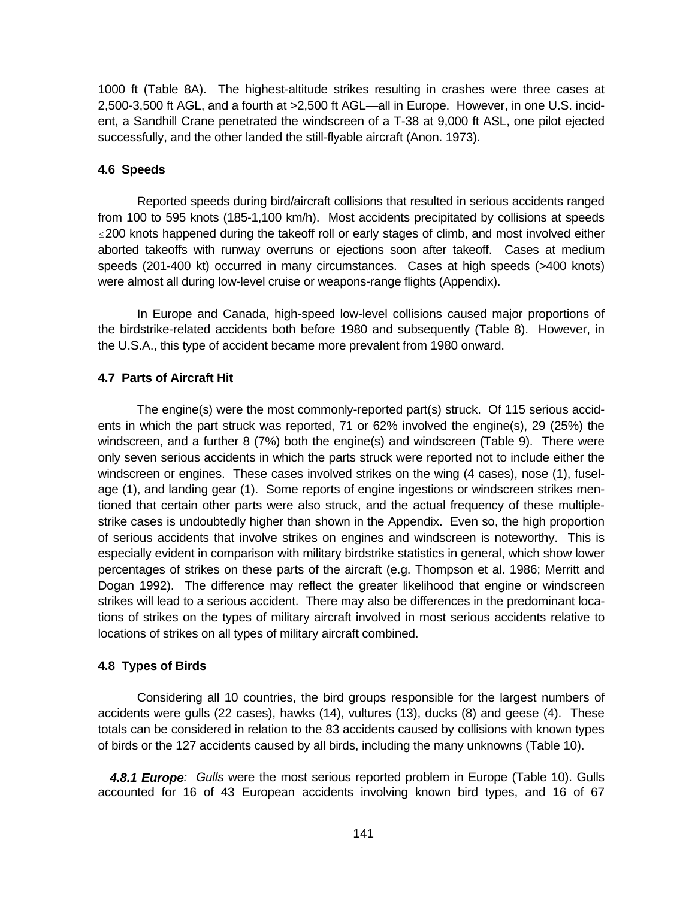1000 ft (Table 8A). The highest-altitude strikes resulting in crashes were three cases at 2,500-3,500 ft AGL, and a fourth at >2,500 ft AGL—all in Europe. However, in one U.S. incident, a Sandhill Crane penetrated the windscreen of a T-38 at 9,000 ft ASL, one pilot ejected successfully, and the other landed the still-flyable aircraft (Anon. 1973).

#### **4.6 Speeds**

Reported speeds during bird/aircraft collisions that resulted in serious accidents ranged from 100 to 595 knots (185-1,100 km/h). Most accidents precipitated by collisions at speeds  $\leq$  200 knots happened during the takeoff roll or early stages of climb, and most involved either aborted takeoffs with runway overruns or ejections soon after takeoff. Cases at medium speeds (201-400 kt) occurred in many circumstances. Cases at high speeds (>400 knots) were almost all during low-level cruise or weapons-range flights (Appendix).

In Europe and Canada, high-speed low-level collisions caused major proportions of the birdstrike-related accidents both before 1980 and subsequently (Table 8). However, in the U.S.A., this type of accident became more prevalent from 1980 onward.

#### **4.7 Parts of Aircraft Hit**

The engine(s) were the most commonly-reported part(s) struck. Of 115 serious accidents in which the part struck was reported, 71 or 62% involved the engine(s), 29 (25%) the windscreen, and a further 8 (7%) both the engine(s) and windscreen (Table 9). There were only seven serious accidents in which the parts struck were reported not to include either the windscreen or engines. These cases involved strikes on the wing (4 cases), nose (1), fuselage (1), and landing gear (1). Some reports of engine ingestions or windscreen strikes mentioned that certain other parts were also struck, and the actual frequency of these multiplestrike cases is undoubtedly higher than shown in the Appendix. Even so, the high proportion of serious accidents that involve strikes on engines and windscreen is noteworthy. This is especially evident in comparison with military birdstrike statistics in general, which show lower percentages of strikes on these parts of the aircraft (e.g. Thompson et al. 1986; Merritt and Dogan 1992). The difference may reflect the greater likelihood that engine or windscreen strikes will lead to a serious accident. There may also be differences in the predominant locations of strikes on the types of military aircraft involved in most serious accidents relative to locations of strikes on all types of military aircraft combined.

### **4.8 Types of Birds**

Considering all 10 countries, the bird groups responsible for the largest numbers of accidents were gulls (22 cases), hawks (14), vultures (13), ducks (8) and geese (4). These totals can be considered in relation to the 83 accidents caused by collisions with known types of birds or the 127 accidents caused by all birds, including the many unknowns (Table 10).

*4.8.1 Europe: Gulls* were the most serious reported problem in Europe (Table 10). Gulls accounted for 16 of 43 European accidents involving known bird types, and 16 of 67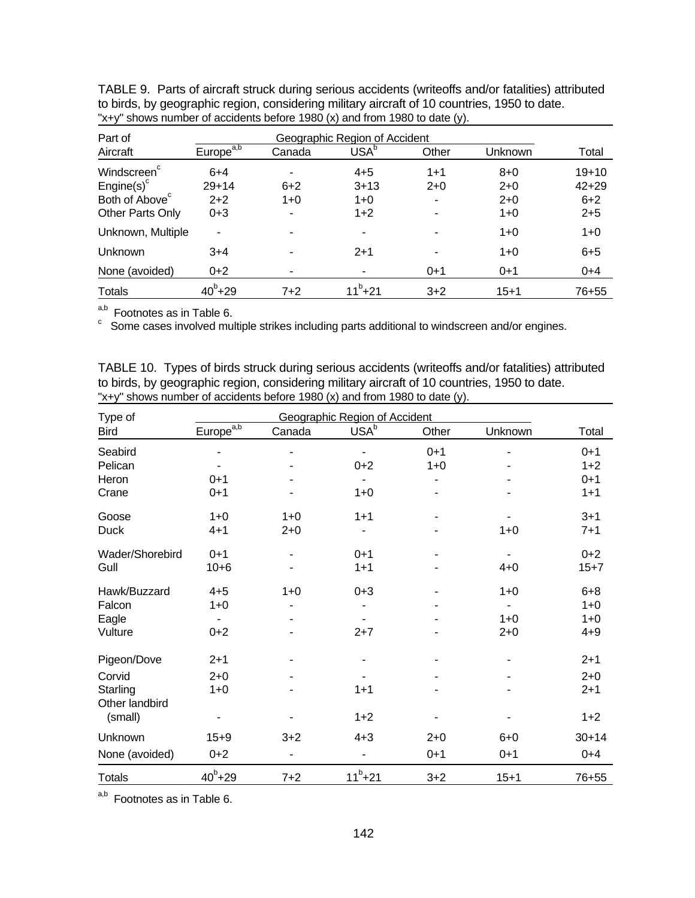| Part of                    | Geographic Region of Accident |        |                  |         |          |           |  |  |  |  |  |
|----------------------------|-------------------------------|--------|------------------|---------|----------|-----------|--|--|--|--|--|
| Aircraft                   | Europe <sup>a,b</sup>         | Canada | USA <sup>b</sup> | Other   | Unknown  | Total     |  |  |  |  |  |
| Windscreen <sup>c</sup>    | $6+4$                         |        | $4 + 5$          | $1 + 1$ | $8 + 0$  | $19 + 10$ |  |  |  |  |  |
| $Engine(s)^c$              | $29 + 14$                     | $6+2$  | $3 + 13$         | $2+0$   | $2+0$    | $42 + 29$ |  |  |  |  |  |
| Both of Above <sup>c</sup> | $2+2$                         | $1+0$  | $1+0$            |         | $2+0$    | $6 + 2$   |  |  |  |  |  |
| Other Parts Only           | $0 + 3$                       | ۰      | $1+2$            |         | $1+0$    | $2 + 5$   |  |  |  |  |  |
| Unknown, Multiple          |                               |        | ۰                |         | $1+0$    | $1 + 0$   |  |  |  |  |  |
| Unknown                    | $3+4$                         |        | $2+1$            |         | $1+0$    | $6 + 5$   |  |  |  |  |  |
| None (avoided)             | $0+2$                         |        |                  | $0+1$   | $0+1$    | $0+4$     |  |  |  |  |  |
| <b>Totals</b>              | $40^{b} + 29$                 | $7+2$  | $11^{b}+21$      | $3 + 2$ | $15 + 1$ | 76+55     |  |  |  |  |  |

| TABLE 9. Parts of aircraft struck during serious accidents (writeoffs and/or fatalities) attributed |
|-----------------------------------------------------------------------------------------------------|
| to birds, by geographic region, considering military aircraft of 10 countries, 1950 to date.        |
| "x+y" shows number of accidents before 1980 (x) and from 1980 to date (y).                          |

 $a,b$  Footnotes as in Table 6.

Some cases involved multiple strikes including parts additional to windscreen and/or engines.

TABLE 10. Types of birds struck during serious accidents (writeoffs and/or fatalities) attributed to birds, by geographic region, considering military aircraft of 10 countries, 1950 to date. "x+y" shows number of accidents before 1980 (x) and from 1980 to date (y).

| Type of         |                       |         |                                                   |         |          |           |
|-----------------|-----------------------|---------|---------------------------------------------------|---------|----------|-----------|
| <b>Bird</b>     | Europe <sup>a,b</sup> | Canada  | Geographic Region of Accident<br>USA <sup>b</sup> | Other   | Unknown  | Total     |
| Seabird         |                       |         |                                                   | $0 + 1$ |          | $0 + 1$   |
| Pelican         |                       |         | $0 + 2$                                           | $1 + 0$ |          | $1+2$     |
| Heron           | $0 + 1$               |         |                                                   |         |          | $0 + 1$   |
| Crane           | $0 + 1$               |         | $1 + 0$                                           |         |          | $1 + 1$   |
| Goose           | $1 + 0$               | $1 + 0$ | $1 + 1$                                           |         |          | $3 + 1$   |
| <b>Duck</b>     | $4 + 1$               | $2 + 0$ |                                                   |         | $1 + 0$  | $7 + 1$   |
| Wader/Shorebird | $0 + 1$               |         | $0 + 1$                                           |         |          | $0 + 2$   |
| Gull            | $10 + 6$              |         | $1 + 1$                                           |         | $4 + 0$  | $15 + 7$  |
| Hawk/Buzzard    | $4 + 5$               | $1 + 0$ | $0 + 3$                                           |         | $1 + 0$  | $6 + 8$   |
| Falcon          | $1 + 0$               |         |                                                   |         |          | $1 + 0$   |
| Eagle           |                       |         |                                                   |         | $1 + 0$  | $1 + 0$   |
| Vulture         | $0 + 2$               |         | $2 + 7$                                           |         | $2 + 0$  | $4 + 9$   |
| Pigeon/Dove     | $2+1$                 |         |                                                   |         |          | $2+1$     |
| Corvid          | $2 + 0$               |         |                                                   |         |          | $2 + 0$   |
| Starling        | $1 + 0$               |         | $1 + 1$                                           |         |          | $2+1$     |
| Other landbird  |                       |         |                                                   |         |          |           |
| (small)         |                       |         | $1+2$                                             |         |          | $1 + 2$   |
| Unknown         | $15 + 9$              | $3 + 2$ | $4 + 3$                                           | $2 + 0$ | $6 + 0$  | $30 + 14$ |
| None (avoided)  | $0 + 2$               | ۰       |                                                   | $0 + 1$ | $0 + 1$  | $0 + 4$   |
| <b>Totals</b>   | $40^{b} + 29$         | $7 + 2$ | $11^{b} + 21$                                     | $3 + 2$ | $15 + 1$ | 76+55     |

a,b Footnotes as in Table 6.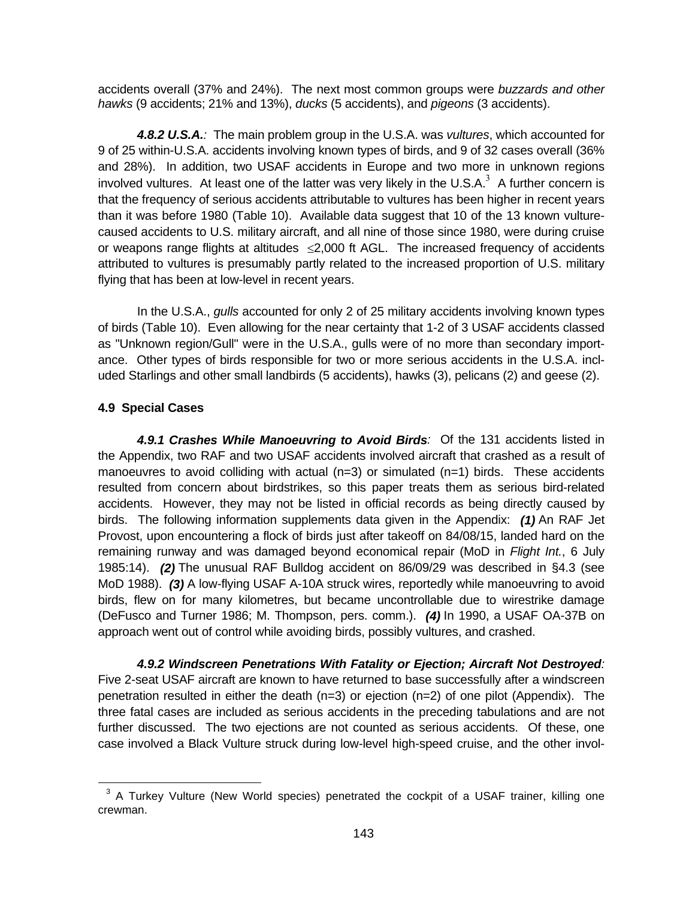accidents overall (37% and 24%). The next most common groups were *buzzards and other hawks* (9 accidents; 21% and 13%), *ducks* (5 accidents), and *pigeons* (3 accidents).

*4.8.2 U.S.A.:* The main problem group in the U.S.A. was *vultures*, which accounted for 9 of 25 within-U.S.A. accidents involving known types of birds, and 9 of 32 cases overall (36% and 28%). In addition, two USAF accidents in Europe and two more in unknown regions involved vultures. At least one of the latter was very likely in the U.S.A.<sup>3</sup> A further concern is that the frequency of serious accidents attributable to vultures has been higher in recent years than it was before 1980 (Table 10). Available data suggest that 10 of the 13 known vulturecaused accidents to U.S. military aircraft, and all nine of those since 1980, were during cruise or weapons range flights at altitudes  $\leq$ 2,000 ft AGL. The increased frequency of accidents attributed to vultures is presumably partly related to the increased proportion of U.S. military flying that has been at low-level in recent years.

In the U.S.A., *gulls* accounted for only 2 of 25 military accidents involving known types of birds (Table 10). Even allowing for the near certainty that 1-2 of 3 USAF accidents classed as "Unknown region/Gull" were in the U.S.A., gulls were of no more than secondary importance. Other types of birds responsible for two or more serious accidents in the U.S.A. included Starlings and other small landbirds (5 accidents), hawks (3), pelicans (2) and geese (2).

### **4.9 Special Cases**

 $\overline{a}$ 

*4.9.1 Crashes While Manoeuvring to Avoid Birds:* Of the 131 accidents listed in the Appendix, two RAF and two USAF accidents involved aircraft that crashed as a result of manoeuvres to avoid colliding with actual  $(n=3)$  or simulated  $(n=1)$  birds. These accidents resulted from concern about birdstrikes, so this paper treats them as serious bird-related accidents. However, they may not be listed in official records as being directly caused by birds. The following information supplements data given in the Appendix: *(1)* An RAF Jet Provost, upon encountering a flock of birds just after takeoff on 84/08/15, landed hard on the remaining runway and was damaged beyond economical repair (MoD in *Flight Int.*, 6 July 1985:14). *(2)* The unusual RAF Bulldog accident on 86/09/29 was described in §4.3 (see MoD 1988). *(3)* A low-flying USAF A-10A struck wires, reportedly while manoeuvring to avoid birds, flew on for many kilometres, but became uncontrollable due to wirestrike damage (DeFusco and Turner 1986; M. Thompson, pers. comm.). *(4)* In 1990, a USAF OA-37B on approach went out of control while avoiding birds, possibly vultures, and crashed.

*4.9.2 Windscreen Penetrations With Fatality or Ejection; Aircraft Not Destroyed:* Five 2-seat USAF aircraft are known to have returned to base successfully after a windscreen penetration resulted in either the death (n=3) or ejection (n=2) of one pilot (Appendix). The three fatal cases are included as serious accidents in the preceding tabulations and are not further discussed. The two ejections are not counted as serious accidents. Of these, one case involved a Black Vulture struck during low-level high-speed cruise, and the other invol-

 $3$  A Turkey Vulture (New World species) penetrated the cockpit of a USAF trainer, killing one crewman.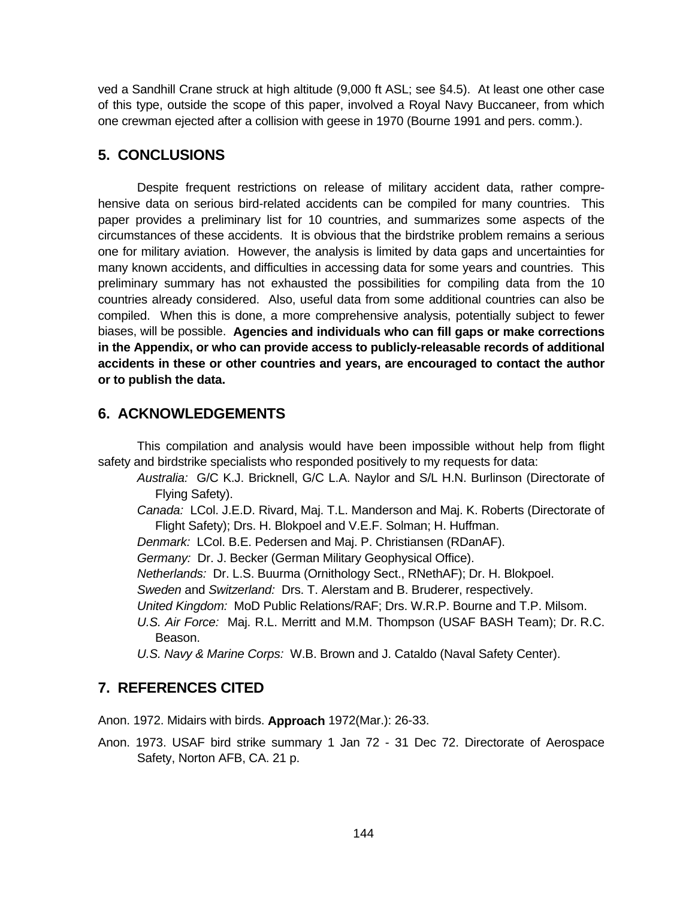ved a Sandhill Crane struck at high altitude (9,000 ft ASL; see §4.5). At least one other case of this type, outside the scope of this paper, involved a Royal Navy Buccaneer, from which one crewman ejected after a collision with geese in 1970 (Bourne 1991 and pers. comm.).

# **5. CONCLUSIONS**

Despite frequent restrictions on release of military accident data, rather comprehensive data on serious bird-related accidents can be compiled for many countries. This paper provides a preliminary list for 10 countries, and summarizes some aspects of the circumstances of these accidents. It is obvious that the birdstrike problem remains a serious one for military aviation. However, the analysis is limited by data gaps and uncertainties for many known accidents, and difficulties in accessing data for some years and countries. This preliminary summary has not exhausted the possibilities for compiling data from the 10 countries already considered. Also, useful data from some additional countries can also be compiled. When this is done, a more comprehensive analysis, potentially subject to fewer biases, will be possible. **Agencies and individuals who can fill gaps or make corrections in the Appendix, or who can provide access to publicly-releasable records of additional accidents in these or other countries and years, are encouraged to contact the author or to publish the data.**

# **6. ACKNOWLEDGEMENTS**

This compilation and analysis would have been impossible without help from flight safety and birdstrike specialists who responded positively to my requests for data:

- *Australia:* G/C K.J. Bricknell, G/C L.A. Naylor and S/L H.N. Burlinson (Directorate of Flying Safety).
- *Canada:* LCol. J.E.D. Rivard, Maj. T.L. Manderson and Maj. K. Roberts (Directorate of Flight Safety); Drs. H. Blokpoel and V.E.F. Solman; H. Huffman.
- *Denmark:* LCol. B.E. Pedersen and Maj. P. Christiansen (RDanAF).

*Germany:* Dr. J. Becker (German Military Geophysical Office).

- *Netherlands:* Dr. L.S. Buurma (Ornithology Sect., RNethAF); Dr. H. Blokpoel.
- *Sweden* and *Switzerland:* Drs. T. Alerstam and B. Bruderer, respectively.
- *United Kingdom:* MoD Public Relations/RAF; Drs. W.R.P. Bourne and T.P. Milsom.
- *U.S. Air Force:* Maj. R.L. Merritt and M.M. Thompson (USAF BASH Team); Dr. R.C. Beason.
- *U.S. Navy & Marine Corps:* W.B. Brown and J. Cataldo (Naval Safety Center).

# **7. REFERENCES CITED**

Anon. 1972. Midairs with birds. **Approach** 1972(Mar.): 26-33.

Anon. 1973. USAF bird strike summary 1 Jan 72 - 31 Dec 72. Directorate of Aerospace Safety, Norton AFB, CA. 21 p.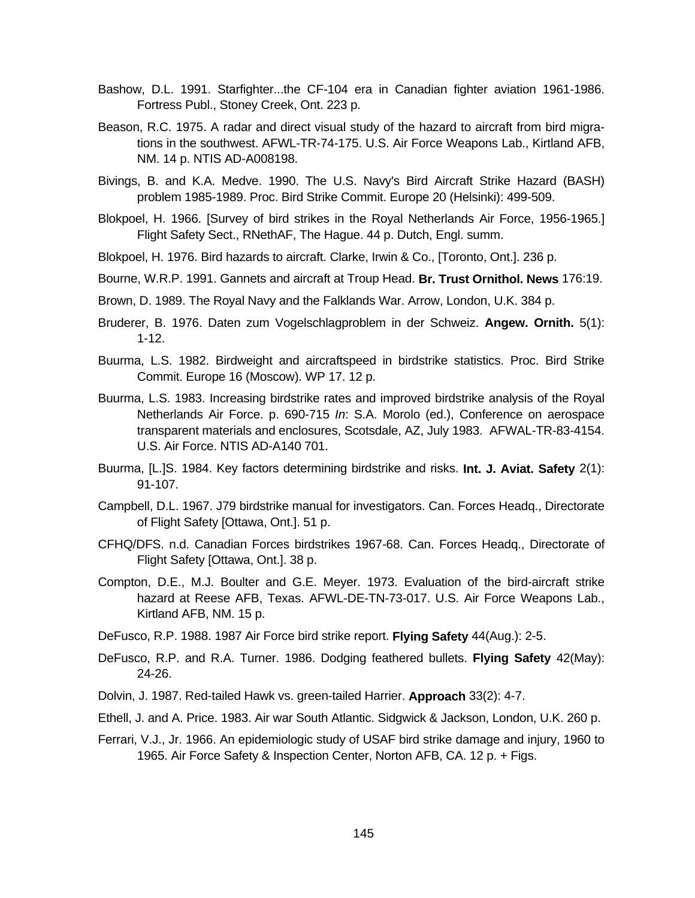- Bashow, D.L. 1991. Starfighter...the CF-104 era in Canadian fighter aviation 1961-1986. Fortress Publ., Stoney Creek, Ont. 223 p.
- Beason, R.C. 1975. A radar and direct visual study of the hazard to aircraft from bird migrations in the southwest. AFWL-TR-74-175. U.S. Air Force Weapons Lab., Kirtland AFB, NM. 14 p. NTIS AD-A008198.
- Bivings, B. and K.A. Medve. 1990. The U.S. Navy's Bird Aircraft Strike Hazard (BASH) problem 1985-1989. Proc. Bird Strike Commit. Europe 20 (Helsinki): 499-509.
- Blokpoel, H. 1966. [Survey of bird strikes in the Royal Netherlands Air Force, 1956-1965.] Flight Safety Sect., RNethAF, The Hague. 44 p. Dutch, Engl. summ.
- Blokpoel, H. 1976. Bird hazards to aircraft. Clarke, Irwin & Co., [Toronto, Ont.]. 236 p.
- Bourne, W.R.P. 1991. Gannets and aircraft at Troup Head. **Br. Trust Ornithol. News** 176:19.
- Brown, D. 1989. The Royal Navy and the Falklands War. Arrow, London, U.K. 384 p.
- Bruderer, B. 1976. Daten zum Vogelschlagproblem in der Schweiz. **Angew. Ornith.** 5(1): 1-12.
- Buurma, L.S. 1982. Birdweight and aircraftspeed in birdstrike statistics. Proc. Bird Strike Commit. Europe 16 (Moscow). WP 17. 12 p.
- Buurma, L.S. 1983. Increasing birdstrike rates and improved birdstrike analysis of the Royal Netherlands Air Force. p. 690-715 *In*: S.A. Morolo (ed.), Conference on aerospace transparent materials and enclosures, Scotsdale, AZ, July 1983. AFWAL-TR-83-4154. U.S. Air Force. NTIS AD-A140 701.
- Buurma, [L.]S. 1984. Key factors determining birdstrike and risks. **Int. J. Aviat. Safety** 2(1): 91-107.
- Campbell, D.L. 1967. J79 birdstrike manual for investigators. Can. Forces Headq., Directorate of Flight Safety [Ottawa, Ont.]. 51 p.
- CFHQ/DFS. n.d. Canadian Forces birdstrikes 1967-68. Can. Forces Headq., Directorate of Flight Safety [Ottawa, Ont.]. 38 p.
- Compton, D.E., M.J. Boulter and G.E. Meyer. 1973. Evaluation of the bird-aircraft strike hazard at Reese AFB, Texas. AFWL-DE-TN-73-017. U.S. Air Force Weapons Lab., Kirtland AFB, NM. 15 p.
- DeFusco, R.P. 1988. 1987 Air Force bird strike report. **Flying Safety** 44(Aug.): 2-5.
- DeFusco, R.P. and R.A. Turner. 1986. Dodging feathered bullets. **Flying Safety** 42(May): 24-26.
- Dolvin, J. 1987. Red-tailed Hawk vs. green-tailed Harrier. **Approach** 33(2): 4-7.
- Ethell, J. and A. Price. 1983. Air war South Atlantic. Sidgwick & Jackson, London, U.K. 260 p.
- Ferrari, V.J., Jr. 1966. An epidemiologic study of USAF bird strike damage and injury, 1960 to 1965. Air Force Safety & Inspection Center, Norton AFB, CA. 12 p. + Figs.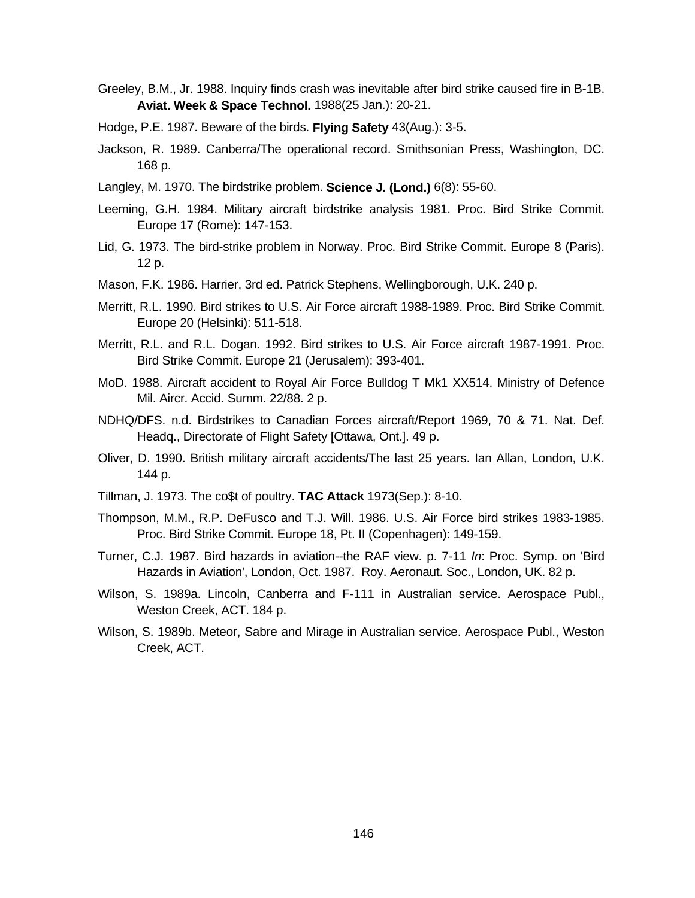- Greeley, B.M., Jr. 1988. Inquiry finds crash was inevitable after bird strike caused fire in B-1B. **Aviat. Week & Space Technol.** 1988(25 Jan.): 20-21.
- Hodge, P.E. 1987. Beware of the birds. **Flying Safety** 43(Aug.): 3-5.
- Jackson, R. 1989. Canberra/The operational record. Smithsonian Press, Washington, DC. 168 p.
- Langley, M. 1970. The birdstrike problem. **Science J. (Lond.)** 6(8): 55-60.
- Leeming, G.H. 1984. Military aircraft birdstrike analysis 1981. Proc. Bird Strike Commit. Europe 17 (Rome): 147-153.
- Lid, G. 1973. The bird-strike problem in Norway. Proc. Bird Strike Commit. Europe 8 (Paris). 12 p.
- Mason, F.K. 1986. Harrier, 3rd ed. Patrick Stephens, Wellingborough, U.K. 240 p.
- Merritt, R.L. 1990. Bird strikes to U.S. Air Force aircraft 1988-1989. Proc. Bird Strike Commit. Europe 20 (Helsinki): 511-518.
- Merritt, R.L. and R.L. Dogan. 1992. Bird strikes to U.S. Air Force aircraft 1987-1991. Proc. Bird Strike Commit. Europe 21 (Jerusalem): 393-401.
- MoD. 1988. Aircraft accident to Royal Air Force Bulldog T Mk1 XX514. Ministry of Defence Mil. Aircr. Accid. Summ. 22/88. 2 p.
- NDHQ/DFS. n.d. Birdstrikes to Canadian Forces aircraft/Report 1969, 70 & 71. Nat. Def. Headq., Directorate of Flight Safety [Ottawa, Ont.]. 49 p.
- Oliver, D. 1990. British military aircraft accidents/The last 25 years. Ian Allan, London, U.K. 144 p.
- Tillman, J. 1973. The co\$t of poultry. **TAC Attack** 1973(Sep.): 8-10.
- Thompson, M.M., R.P. DeFusco and T.J. Will. 1986. U.S. Air Force bird strikes 1983-1985. Proc. Bird Strike Commit. Europe 18, Pt. II (Copenhagen): 149-159.
- Turner, C.J. 1987. Bird hazards in aviation--the RAF view. p. 7-11 *In*: Proc. Symp. on 'Bird Hazards in Aviation', London, Oct. 1987. Roy. Aeronaut. Soc., London, UK. 82 p.
- Wilson, S. 1989a. Lincoln, Canberra and F-111 in Australian service. Aerospace Publ., Weston Creek, ACT. 184 p.
- Wilson, S. 1989b. Meteor, Sabre and Mirage in Australian service. Aerospace Publ., Weston Creek, ACT.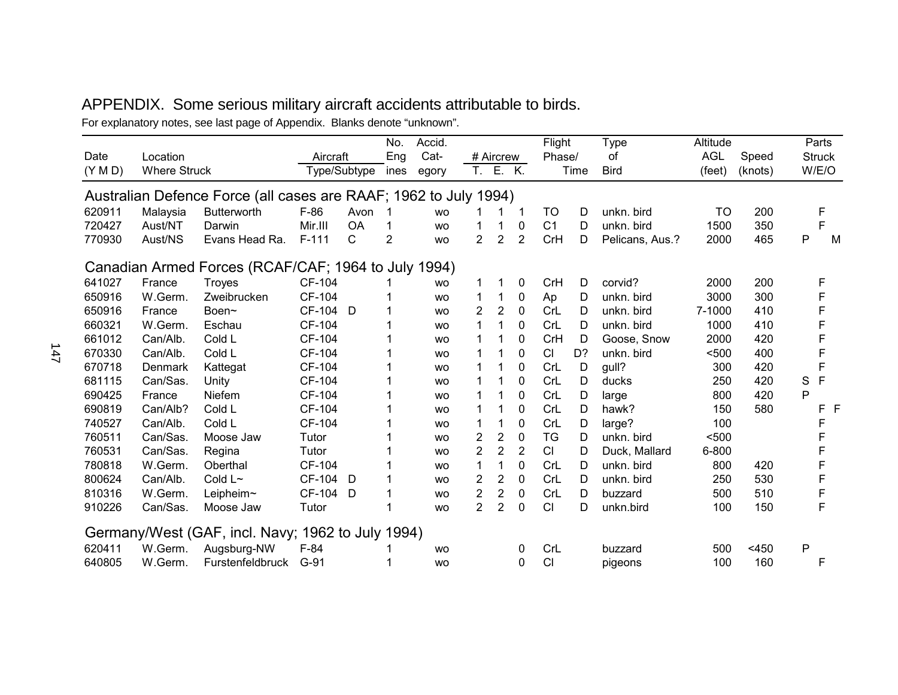# APPENDIX. Some serious military aircraft accidents attributable to birds.

For explanatory notes, see last page of Appendix. Blanks denote "unknown".

|         |                     |                                                                  |          |              | No.  | Accid.    |                |                |                | Flight         |      | <b>Type</b>     | Altitude   |         |   | Parts         |   |
|---------|---------------------|------------------------------------------------------------------|----------|--------------|------|-----------|----------------|----------------|----------------|----------------|------|-----------------|------------|---------|---|---------------|---|
| Date    | Location            |                                                                  | Aircraft |              | Eng  | Cat-      |                | # Aircrew      |                | Phase/         |      | οf              | <b>AGL</b> | Speed   |   | <b>Struck</b> |   |
| (Y M D) | <b>Where Struck</b> |                                                                  |          | Type/Subtype | ines | egory     | T.             | E. K.          |                |                | Time | <b>Bird</b>     | (feet)     | (knots) |   | W/E/O         |   |
|         |                     | Australian Defence Force (all cases are RAAF; 1962 to July 1994) |          |              |      |           |                |                |                |                |      |                 |            |         |   |               |   |
| 620911  | Malaysia            | <b>Butterworth</b>                                               | $F-86$   | Avon         | 1    | <b>WO</b> |                |                | $\mathbf 1$    | <b>TO</b>      | D    | unkn. bird      | TO         | 200     |   | F             |   |
| 720427  | Aust/NT             | Darwin                                                           | Mir.III  | <b>OA</b>    | 1    | <b>WO</b> | 1              | 1              | 0              | C <sub>1</sub> | D    | unkn. bird      | 1500       | 350     |   | F             |   |
| 770930  | Aust/NS             | Evans Head Ra.                                                   | $F-111$  | C            | 2    | <b>WO</b> | $\overline{2}$ | $\overline{2}$ | $\overline{2}$ | CrH            | D    | Pelicans, Aus.? | 2000       | 465     | P |               | M |
|         |                     | Canadian Armed Forces (RCAF/CAF; 1964 to July 1994)              |          |              |      |           |                |                |                |                |      |                 |            |         |   |               |   |
| 641027  | France              | <b>Troyes</b>                                                    | CF-104   |              |      | <b>WO</b> |                | 1              | $\pmb{0}$      | CrH            | D    | corvid?         | 2000       | 200     |   | F             |   |
| 650916  | W.Germ.             | Zweibrucken                                                      | CF-104   |              |      | <b>WO</b> | 1              | 1              | 0              | Ap             | D    | unkn. bird      | 3000       | 300     |   | F             |   |
| 650916  | France              | Boen~                                                            | CF-104 D |              |      | <b>WO</b> | $\overline{2}$ | $\overline{2}$ | 0              | CrL            | D    | unkn. bird      | 7-1000     | 410     |   | F             |   |
| 660321  | W.Germ.             | Eschau                                                           | CF-104   |              |      | <b>WO</b> | 1              | 1              | $\mathbf 0$    | CrL            | D    | unkn. bird      | 1000       | 410     |   |               |   |
| 661012  | Can/Alb.            | Cold L                                                           | CF-104   |              |      | <b>WO</b> | 1              |                | 0              | CrH            | D    | Goose, Snow     | 2000       | 420     |   | F             |   |
| 670330  | Can/Alb.            | Cold L                                                           | CF-104   |              |      | <b>WO</b> |                |                | 0              | CI             | D?   | unkn. bird      | < 500      | 400     |   | F             |   |
| 670718  | Denmark             | Kattegat                                                         | CF-104   |              |      | <b>WO</b> | 1              |                | 0              | CrL            | D    | gull?           | 300        | 420     |   | F             |   |
| 681115  | Can/Sas.            | Unity                                                            | CF-104   |              |      | <b>WO</b> |                |                | 0              | CrL            | D    | ducks           | 250        | 420     | S | F             |   |
| 690425  | France              | Niefem                                                           | CF-104   |              |      | <b>WO</b> | 1              |                | 0              | CrL            | D    | large           | 800        | 420     | P |               |   |
| 690819  | Can/Alb?            | Cold L                                                           | CF-104   |              |      | <b>WO</b> | 1              |                | $\mathbf 0$    | CrL            | D    | hawk?           | 150        | 580     |   | F F           |   |
| 740527  | Can/Alb.            | Cold L                                                           | CF-104   |              |      | <b>WO</b> | 1              | 1              | 0              | CrL            | D    | large?          | 100        |         |   | F             |   |
| 760511  | Can/Sas.            | Moose Jaw                                                        | Tutor    |              |      | <b>WO</b> | $\overline{2}$ | $\overline{2}$ | $\mathbf 0$    | <b>TG</b>      | D    | unkn. bird      | $500$      |         |   | F             |   |
| 760531  | Can/Sas.            | Regina                                                           | Tutor    |              |      | <b>WO</b> | $\overline{2}$ | $\overline{2}$ | $\overline{2}$ | CI             | D    | Duck, Mallard   | 6-800      |         |   | F             |   |
| 780818  | W.Germ.             | Oberthal                                                         | CF-104   |              |      | <b>WO</b> | 1              | 1              | 0              | CrL            | D    | unkn. bird      | 800        | 420     |   |               |   |
| 800624  | Can/Alb.            | Cold L~                                                          | CF-104 D |              |      | <b>WO</b> | $\overline{2}$ | $\overline{2}$ | 0              | CrL            | D    | unkn. bird      | 250        | 530     |   | F             |   |
| 810316  | W.Germ.             | Leipheim~                                                        | CF-104 D |              |      | <b>WO</b> | $\overline{2}$ | $\overline{2}$ | 0              | CrL            | D    | buzzard         | 500        | 510     |   | F             |   |
| 910226  | Can/Sas.            | Moose Jaw                                                        | Tutor    |              |      | <b>WO</b> | $\overline{2}$ | $\overline{2}$ | $\mathbf 0$    | CI             | D    | unkn.bird       | 100        | 150     |   | F             |   |
|         |                     | Germany/West (GAF, incl. Navy; 1962 to July 1994)                |          |              |      |           |                |                |                |                |      |                 |            |         |   |               |   |
| 620411  | W.Germ.             | Augsburg-NW                                                      | $F-84$   |              |      | <b>WO</b> |                |                | 0              | CrL            |      | buzzard         | 500        | $<$ 450 | P |               |   |
| 640805  | W.Germ.             | <b>Furstenfeldbruck</b>                                          | $G-91$   |              |      | <b>WO</b> |                |                | $\Omega$       | CI             |      | pigeons         | 100        | 160     |   | F             |   |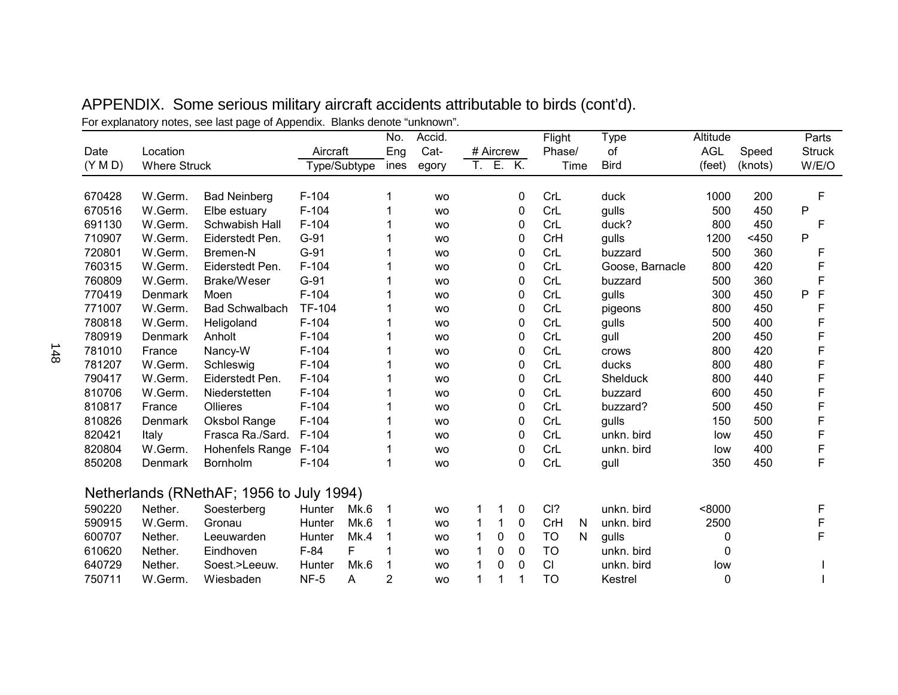|         |                     |                                          |               | No.       | Accid.    |   |           |          | Flight    |      | <b>Type</b>     | Altitude   |         | Parts         |
|---------|---------------------|------------------------------------------|---------------|-----------|-----------|---|-----------|----------|-----------|------|-----------------|------------|---------|---------------|
| Date    | Location            |                                          | Aircraft      | Eng       | Cat-      |   | # Aircrew |          | Phase/    |      | of              | <b>AGL</b> | Speed   | <b>Struck</b> |
| (Y M D) | <b>Where Struck</b> |                                          | Type/Subtype  | ines      | egory     |   | T. E. K.  |          |           | Time | <b>Bird</b>     | (feet)     | (knots) | W/E/O         |
| 670428  | W.Germ.             | <b>Bad Neinberg</b>                      | $F-104$       |           | <b>WO</b> |   |           | 0        | CrL       |      | duck            | 1000       | 200     | F             |
| 670516  | W.Germ.             | Elbe estuary                             | $F-104$       |           | <b>WO</b> |   |           | 0        | CrL       |      | gulls           | 500        | 450     | P             |
| 691130  | W.Germ.             | Schwabish Hall                           | $F-104$       |           | <b>WO</b> |   |           | 0        | CrL       |      | duck?           | 800        | 450     | F             |
| 710907  | W.Germ.             | Eiderstedt Pen.                          | G-91          |           | <b>WO</b> |   |           | 0        | CrH       |      | gulls           | 1200       | $<$ 450 | P             |
| 720801  | W.Germ.             | Bremen-N                                 | $G-91$        |           | <b>WO</b> |   |           | 0        | CrL       |      | buzzard         | 500        | 360     | F             |
| 760315  | W.Germ.             | Eiderstedt Pen.                          | $F-104$       |           | <b>WO</b> |   |           | 0        | CrL       |      | Goose, Barnacle | 800        | 420     | F             |
| 760809  | W.Germ.             | Brake/Weser                              | $G-91$        |           | <b>WO</b> |   |           | 0        | CrL       |      | buzzard         | 500        | 360     | F             |
| 770419  | Denmark             | Moen                                     | $F-104$       |           | <b>WO</b> |   |           | $\Omega$ | CrL       |      | gulls           | 300        | 450     | F<br>P        |
| 771007  | W.Germ.             | <b>Bad Schwalbach</b>                    | <b>TF-104</b> |           | <b>WO</b> |   |           | 0        | CrL       |      | pigeons         | 800        | 450     | F             |
| 780818  | W.Germ.             | Heligoland                               | $F-104$       |           | <b>WO</b> |   |           | 0        | CrL       |      | gulls           | 500        | 400     | F             |
| 780919  | Denmark             | Anholt                                   | $F-104$       |           | <b>WO</b> |   |           | 0        | CrL       |      | gull            | 200        | 450     | F             |
| 781010  | France              | Nancy-W                                  | $F-104$       |           | <b>WO</b> |   |           | $\Omega$ | CrL       |      | crows           | 800        | 420     | F             |
| 781207  | W.Germ.             | Schleswig                                | $F-104$       |           | <b>WO</b> |   |           | 0        | CrL       |      | ducks           | 800        | 480     | F             |
| 790417  | W.Germ.             | Eiderstedt Pen.                          | $F-104$       |           | <b>WO</b> |   |           | 0        | CrL       |      | Shelduck        | 800        | 440     | F             |
| 810706  | W.Germ.             | Niederstetten                            | $F-104$       |           | <b>WO</b> |   |           | 0        | CrL       |      | buzzard         | 600        | 450     | F             |
| 810817  | France              | Ollieres                                 | $F-104$       |           | <b>WO</b> |   |           | 0        | CrL       |      | buzzard?        | 500        | 450     | F             |
| 810826  | Denmark             | Oksbol Range                             | $F-104$       |           | <b>WO</b> |   |           | 0        | CrL       |      | gulls           | 150        | 500     | F             |
| 820421  | Italy               | Frasca Ra./Sard.                         | $F-104$       |           | <b>WO</b> |   |           | 0        | CrL       |      | unkn. bird      | low        | 450     | F             |
| 820804  | W.Germ.             | Hohenfels Range                          | $F-104$       |           | <b>WO</b> |   |           | 0        | CrL       |      | unkn. bird      | low        | 400     | F             |
| 850208  | Denmark             | Bornholm                                 | $F-104$       |           | <b>WO</b> |   |           | 0        | CrL       |      | gull            | 350        | 450     | F             |
|         |                     | Netherlands (RNethAF; 1956 to July 1994) |               |           |           |   |           |          |           |      |                 |            |         |               |
| 590220  | Nether.             | Soesterberg                              | Hunter        | Mk.6<br>1 | <b>WO</b> |   | 1         | 0        | CI?       |      | unkn. bird      | < 8000     |         | F             |
| 590915  | W.Germ.             | Gronau                                   | Hunter        | Mk.6      | <b>WO</b> | 1 | 1         | 0        | CrH       | N    | unkn. bird      | 2500       |         | F             |
| 600707  | Nether.             | Leeuwarden                               | Hunter        | Mk.4      | <b>WO</b> | 1 | 0         | 0        | <b>TO</b> | N    | gulls           | 0          |         | F             |
| 610620  | Nether.             | Eindhoven                                | F<br>$F-84$   |           | <b>WO</b> |   | 0         | 0        | <b>TO</b> |      | unkn. bird      | 0          |         |               |
| 640729  | Nether.             | Soest.>Leeuw.                            | Hunter        | Mk.6      | <b>WO</b> |   | 0         | 0        | CI        |      | unkn. bird      | low        |         |               |
| 750711  | W.Germ.             | Wiesbaden                                | $NF-5$<br>A   | 2         | <b>WO</b> | 1 |           |          | <b>TO</b> |      | Kestrel         | 0          |         |               |
|         |                     |                                          |               |           |           |   |           |          |           |      |                 |            |         |               |

APPENDIX. Some serious military aircraft accidents attributable to birds (cont'd). For explanatory notes, see last page of Appendix. Blanks denote "unknown".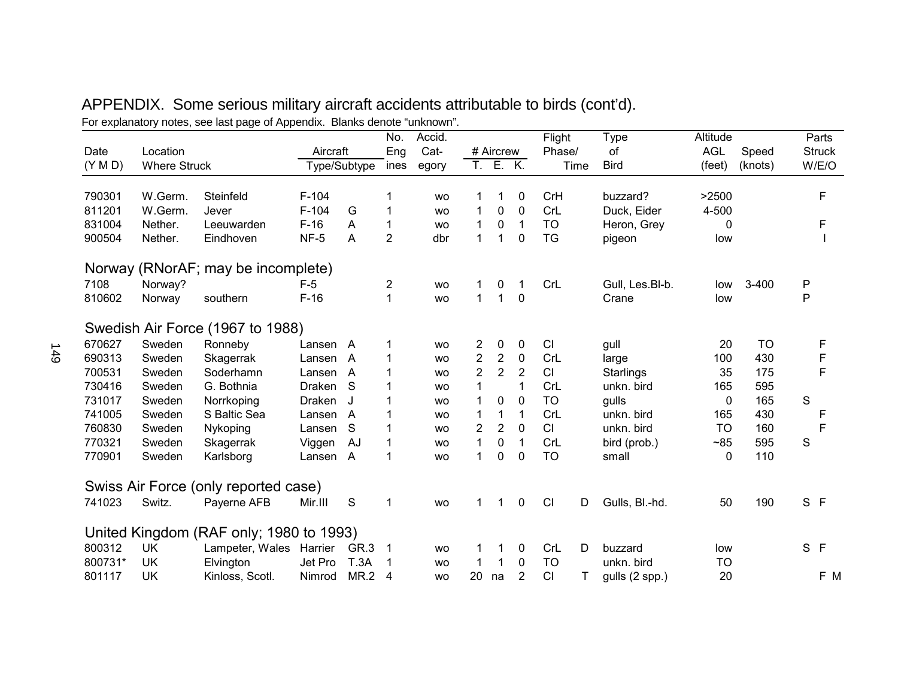|         |                     | i or cypianatory notes, see last page or Appenian. Diaring acribite |          |              | No.                     | $"$ . The property of $\sim$<br>Accid. |                |                |                | Flight    | Type                | Altitude   |           |     | Parts         |
|---------|---------------------|---------------------------------------------------------------------|----------|--------------|-------------------------|----------------------------------------|----------------|----------------|----------------|-----------|---------------------|------------|-----------|-----|---------------|
| Date    | Location            |                                                                     | Aircraft |              | Eng                     | Cat-                                   |                | # Aircrew      |                | Phase/    | οf                  | <b>AGL</b> | Speed     |     | <b>Struck</b> |
| (Y M D) | <b>Where Struck</b> |                                                                     |          | Type/Subtype | ines                    | egory                                  |                | T. E. K.       |                | Time      | <b>Bird</b>         | (feet)     | (knots)   |     | W/E/O         |
| 790301  | W.Germ.             | Steinfeld                                                           | $F-104$  |              |                         | <b>WO</b>                              |                | 1              | 0              | CrH       | buzzard?            | >2500      |           |     | F             |
| 811201  | W.Germ.             | Jever                                                               | $F-104$  | G            | 1                       |                                        | 1              | 0              | $\mathbf 0$    | CrL       | Duck, Eider         | 4-500      |           |     |               |
| 831004  |                     |                                                                     | $F-16$   |              |                         | <b>WO</b>                              |                |                |                | <b>TO</b> |                     |            |           |     | F             |
|         | Nether.             | Leeuwarden                                                          |          | A            | 1                       | <b>WO</b>                              | 1              | 0              | $\mathbf{1}$   |           | Heron, Grey         | 0          |           |     |               |
| 900504  | Nether.             | Eindhoven                                                           | $NF-5$   | A            | $\overline{2}$          | dbr                                    | $\mathbf{1}$   | 1              | $\mathbf 0$    | <b>TG</b> | pigeon              | low        |           |     |               |
|         |                     | Norway (RNorAF; may be incomplete)                                  |          |              |                         |                                        |                |                |                |           |                     |            |           |     |               |
| 7108    | Norway?             |                                                                     | $F-5$    |              | $\overline{\mathbf{c}}$ | <b>WO</b>                              | 1              | 0              | 1              | CrL       | Gull, Les.Bl-b.     | low        | $3 - 400$ | P   |               |
| 810602  | Norway              | southern                                                            | $F-16$   |              | $\mathbf{1}$            | <b>WO</b>                              | $\mathbf{1}$   | $\mathbf{1}$   | $\mathbf 0$    |           | Crane               | low        |           | P   |               |
|         |                     | Swedish Air Force (1967 to 1988)                                    |          |              |                         |                                        |                |                |                |           |                     |            |           |     |               |
| 670627  | Sweden              | Ronneby                                                             | Lansen A |              | 1                       | <b>WO</b>                              | 2              | 0              | $\mathbf 0$    | CI        | gull                | 20         | <b>TO</b> |     | F             |
| 690313  | Sweden              | Skagerrak                                                           | Lansen A |              | 1                       | <b>WO</b>                              | 2              | $\overline{c}$ | $\pmb{0}$      | CrL       | large               | 100        | 430       |     | F             |
| 700531  | Sweden              | Soderhamn                                                           | Lansen A |              | 1                       | <b>WO</b>                              | $\overline{2}$ | $\overline{2}$ | 2              | CI        | <b>Starlings</b>    | 35         | 175       |     | F             |
| 730416  | Sweden              | G. Bothnia                                                          | Draken S |              | 1                       | <b>WO</b>                              | 1              |                | 1              | CrL       | unkn. bird          | 165        | 595       |     |               |
| 731017  | Sweden              | Norrkoping                                                          | Draken   | J.           | 1                       | <b>WO</b>                              | 1              | 0              | $\mathbf 0$    | <b>TO</b> | gulls               | 0          | 165       | S   |               |
| 741005  | Sweden              | S Baltic Sea                                                        | Lansen A |              | 1                       | <b>WO</b>                              | 1              | 1              | $\mathbf 1$    | CrL       | unkn. bird          | 165        | 430       |     | F             |
| 760830  | Sweden              | Nykoping                                                            | Lansen   | <sub>S</sub> | 1                       | <b>WO</b>                              | $\overline{2}$ | $\overline{2}$ | $\mathbf{0}$   | CI        | unkn. bird          | <b>TO</b>  | 160       |     | F             |
| 770321  | Sweden              | Skagerrak                                                           | Viggen   | AJ           | 1                       | <b>WO</b>                              | 1              | 0              | $\mathbf 1$    | CrL       | bird (prob.)        | ~185       | 595       | S   |               |
| 770901  | Sweden              | Karlsborg                                                           | Lansen A |              | 1                       | <b>WO</b>                              | 1              | 0              | $\mathbf 0$    | <b>TO</b> | small               | $\Omega$   | 110       |     |               |
|         |                     | Swiss Air Force (only reported case)                                |          |              |                         |                                        |                |                |                |           |                     |            |           |     |               |
| 741023  | Switz.              | Payerne AFB                                                         | Mir.III  | S            | 1                       | <b>WO</b>                              | 1              | 1              | $\mathbf 0$    | CI        | D<br>Gulls, Bl.-hd. | 50         | 190       | S F |               |
|         |                     | United Kingdom (RAF only; 1980 to 1993)                             |          |              |                         |                                        |                |                |                |           |                     |            |           |     |               |
| 800312  | <b>UK</b>           | Lampeter, Wales                                                     | Harrier  | GR.3         | 1                       | <b>WO</b>                              | 1              | 1              | 0              | CrL       | D<br>buzzard        | low        |           | S F |               |
| 800731* | <b>UK</b>           | Elvington                                                           | Jet Pro  | T.3A         |                         | <b>WO</b>                              |                | 1              | 0              | <b>TO</b> | unkn. bird          | TO         |           |     |               |
| 801117  | UK                  | Kinloss, Scotl.                                                     | Nimrod   | MR.2         | 4                       | <b>WO</b>                              | 20             | na             | $\overline{2}$ | CI        | т<br>gulls (2 spp.) | 20         |           |     | F M           |

# APPENDIX. Some serious military aircraft accidents attributable to birds (cont'd). For explanatory notes, see last page of Appendix. Blanks denote "unknown".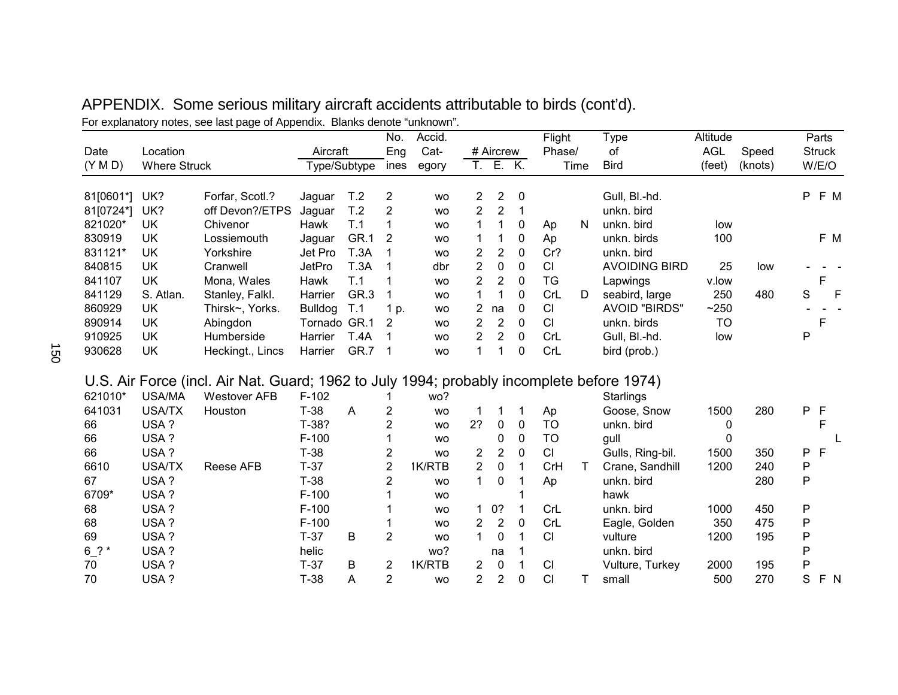|                       |                     | explainatory motod, doo ladt page of ripportalist. Diamito                                |                |                 | No.            | Accid.    |                |                |              | Flight         |   | <b>Type</b>          | Altitude   |         |     | Parts         |       |
|-----------------------|---------------------|-------------------------------------------------------------------------------------------|----------------|-----------------|----------------|-----------|----------------|----------------|--------------|----------------|---|----------------------|------------|---------|-----|---------------|-------|
| Date                  | Location            |                                                                                           | Aircraft       |                 | Eng            | Cat-      |                | # Aircrew      |              | Phase/         |   | of                   | <b>AGL</b> | Speed   |     | <b>Struck</b> |       |
| (Y M D)               | <b>Where Struck</b> |                                                                                           | Type/Subtype   |                 | ines           | egory     |                | T. E. K.       |              | Time           |   | <b>Bird</b>          | (feet)     | (knots) |     | W/E/O         |       |
| 81[0601*]             | UK?                 | Forfar, Scotl.?                                                                           | Jaguar         | T <sub>.2</sub> | 2              | <b>WO</b> | 2              | 2              | 0            |                |   | Gull, Bl.-hd.        |            |         |     |               | P F M |
| 81[0724*              | UK?                 | off Devon?/ETPS                                                                           | Jaguar         | T.2             | $\overline{2}$ | <b>WO</b> | $\overline{2}$ | $\overline{2}$ | 1            |                |   | unkn. bird           |            |         |     |               |       |
| 821020*               | <b>UK</b>           | Chivenor                                                                                  | Hawk           | T.1             | 1              | <b>WO</b> |                | 1              | 0            | Ap             | N | unkn. bird           | low        |         |     |               |       |
| 830919                | UK                  | Lossiemouth                                                                               | Jaguar         | GR.1            | 2              | <b>WO</b> |                | 1              | 0            | Ap             |   | unkn. birds          | 100        |         |     |               | F M   |
| 831121*               | <b>UK</b>           | Yorkshire                                                                                 | Jet Pro        | <b>T.3A</b>     | 1              | <b>WO</b> | $\overline{2}$ | $\overline{2}$ | $\mathbf 0$  | Cr?            |   | unkn. bird           |            |         |     |               |       |
| 840815                | UK                  | Cranwell                                                                                  | JetPro         | T.3A            | 1              | dbr       | $\overline{2}$ | 0              | $\mathbf{0}$ | CI             |   | <b>AVOIDING BIRD</b> | 25         | low     |     |               |       |
| 841107                | <b>UK</b>           | Mona, Wales                                                                               | Hawk           | T.1             | 1              | <b>WO</b> | $\overline{2}$ | $\overline{2}$ | $\mathbf{0}$ | <b>TG</b>      |   | Lapwings             | v.low      |         |     | F             |       |
| 841129                | S. Atlan.           | Stanley, Falkl.                                                                           | Harrier        | GR.3            |                | <b>WO</b> | $\mathbf{1}$   | 1              | 0            | CrL            | D | seabird, large       | 250        | 480     | S   |               | E     |
| 860929                | <b>UK</b>           | Thirsk~, Yorks.                                                                           | <b>Bulldog</b> | T.1             | 1 p.           | <b>WO</b> | $\overline{2}$ | na             | $\mathbf 0$  | CI             |   | <b>AVOID "BIRDS"</b> | ~250       |         |     |               |       |
| 890914                | <b>UK</b>           | Abingdon                                                                                  | Tornado GR.1   |                 | 2              | <b>WO</b> | $\overline{2}$ | $\overline{2}$ | 0            | CI             |   | unkn. birds          | <b>TO</b>  |         |     | F             |       |
| 910925                | <b>UK</b>           | Humberside                                                                                | Harrier        | <b>T.4A</b>     |                | <b>WO</b> | $\overline{2}$ | $\overline{2}$ | $\mathbf 0$  | CrL            |   | Gull, Bl.-hd.        | low        |         | P   |               |       |
| 930628                | <b>UK</b>           | Heckingt., Lincs                                                                          | Harrier        | GR.7            | 1              | <b>WO</b> | $\mathbf 1$    | 1              | 0            | CrL            |   | bird (prob.)         |            |         |     |               |       |
|                       |                     | U.S. Air Force (incl. Air Nat. Guard; 1962 to July 1994; probably incomplete before 1974) |                |                 |                |           |                |                |              |                |   |                      |            |         |     |               |       |
| 621010*               | <b>USA/MA</b>       | <b>Westover AFB</b>                                                                       | $F-102$        |                 |                | wo?       |                |                |              |                |   | Starlings            |            |         |     |               |       |
| 641031                | <b>USA/TX</b>       | Houston                                                                                   | $T-38$         | A               | $\overline{2}$ | <b>WO</b> |                |                | 1            | Ap             |   | Goose, Snow          | 1500       | 280     | P F |               |       |
| 66                    | USA?                |                                                                                           | T-38?          |                 | $\overline{2}$ | <b>WO</b> | 2?             | 0              | $\mathbf{0}$ | <b>TO</b>      |   | unkn. bird           | 0          |         |     | F             |       |
| 66                    | USA?                |                                                                                           | $F-100$        |                 |                | <b>WO</b> |                | 0              | 0            | <b>TO</b>      |   | gull                 | 0          |         |     |               |       |
| 66                    | USA?                |                                                                                           | $T-38$         |                 | $\overline{2}$ | <b>WO</b> | 2              | $\overline{2}$ | 0            | CI             |   | Gulls, Ring-bil.     | 1500       | 350     | P   | $\mathsf{F}$  |       |
| 6610                  | <b>USA/TX</b>       | Reese AFB                                                                                 | $T-37$         |                 | $\overline{2}$ | 1K/RTB    | $\overline{2}$ | 0              | 1            | CrH            | Τ | Crane, Sandhill      | 1200       | 240     | P   |               |       |
| 67                    | USA?                |                                                                                           | $T-38$         |                 | $\overline{2}$ | <b>WO</b> | $\mathbf 1$    | 0              | 1            | Ap             |   | unkn. bird           |            | 280     | P   |               |       |
| 6709*                 | USA?                |                                                                                           | $F-100$        |                 |                | <b>WO</b> |                |                |              |                |   | hawk                 |            |         |     |               |       |
| 68                    | USA?                |                                                                                           | $F-100$        |                 |                | <b>WO</b> | $\overline{1}$ | 0?             | 1            | CrL            |   | unkn. bird           | 1000       | 450     | Ρ   |               |       |
| 68                    | USA?                |                                                                                           | $F-100$        |                 |                | <b>WO</b> | $\overline{2}$ | $\overline{2}$ | 0            | CrL            |   | Eagle, Golden        | 350        | 475     | P   |               |       |
| 69                    | USA?                |                                                                                           | $T-37$         | B               | $\overline{2}$ | <b>WO</b> | $\overline{1}$ | 0              | 1            | CI             |   | vulture              | 1200       | 195     | P   |               |       |
| $6$ $\frac{2}{1}$ $*$ | USA?                |                                                                                           | helic          |                 |                | wo?       |                | na             | 1            |                |   | unkn. bird           |            |         | P   |               |       |
| 70                    | USA?                |                                                                                           | $T-37$         | B               | $\overline{2}$ | 1K/RTB    | 2              | $\mathbf 0$    | 1            | C <sub>l</sub> |   | Vulture, Turkey      | 2000       | 195     | P   |               |       |
| 70                    | USA?                |                                                                                           | $T-38$         | Α               | $\overline{2}$ | <b>WO</b> | $\overline{2}$ | 2              | 0            | CI             | т | small                | 500        | 270     | S   |               | F N   |

| APPENDIX. Some serious military aircraft accidents attributable to birds (cont'd). |
|------------------------------------------------------------------------------------|
| For explanatory notes, see last page of Appendix. Blanks denote "unknown".         |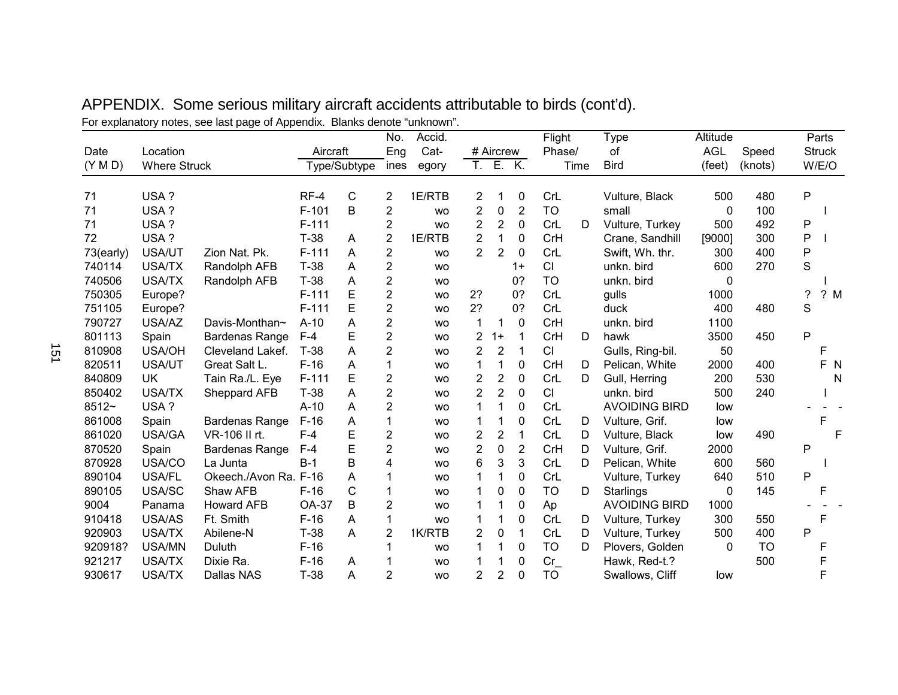| Date      | Location            | . .                   | Aircraft     |              | No.<br>Eng              | Accid.<br>Cat- |                | # Aircrew      |                | Flight<br>Phase/ |      | Type<br>οf           | Altitude<br><b>AGL</b> | Speed     |   | Parts<br><b>Struck</b> |     |
|-----------|---------------------|-----------------------|--------------|--------------|-------------------------|----------------|----------------|----------------|----------------|------------------|------|----------------------|------------------------|-----------|---|------------------------|-----|
| (Y M D)   | <b>Where Struck</b> |                       |              | Type/Subtype | ines                    | egory          | T.             |                | E. K.          |                  | Time | <b>Bird</b>          | (feet)                 | (knots)   |   | W/E/O                  |     |
| 71        | USA?                |                       | $RF-4$       | C            | $\overline{2}$          | 1E/RTB         | 2              |                | 0              | CrL              |      | Vulture, Black       | 500                    | 480       | P |                        |     |
| 71        | USA?                |                       | $F-101$      | B            | $\overline{\mathbf{c}}$ | <b>WO</b>      | 2              | 0              | $\overline{2}$ | <b>TO</b>        |      | small                | 0                      | 100       |   |                        |     |
| 71        | USA?                |                       | $F-111$      |              | $\overline{2}$          | <b>WO</b>      | 2              | 2              | 0              | CrL              | D    | Vulture, Turkey      | 500                    | 492       | Ρ |                        |     |
| 72        | USA?                |                       | $T-38$       | A            | $\overline{2}$          | 1E/RTB         | $\overline{2}$ | $\mathbf 1$    | 0              | CrH              |      | Crane, Sandhill      | [9000]                 | 300       | P |                        |     |
| 73(early) | USA/UT              | Zion Nat. Pk.         | $F-111$      | A            | $\mathbf 2$             | <b>WO</b>      | $\overline{2}$ | $\overline{2}$ | $\mathbf 0$    | CrL              |      | Swift, Wh. thr.      | 300                    | 400       | P |                        |     |
| 740114    | <b>USA/TX</b>       | Randolph AFB          | $T-38$       | A            | $\overline{2}$          | <b>WO</b>      |                |                | $1+$           | <b>CI</b>        |      | unkn. bird           | 600                    | 270       | S |                        |     |
| 740506    | <b>USA/TX</b>       | Randolph AFB          | $T-38$       | A            | $\overline{2}$          | <b>WO</b>      |                |                | 0?             | <b>TO</b>        |      | unkn. bird           | 0                      |           |   |                        |     |
| 750305    | Europe?             |                       | $F-111$      | E            | $\overline{2}$          | <b>WO</b>      | 2 <sup>2</sup> |                | 0?             | CrL              |      | gulls                | 1000                   |           | ? |                        | ? M |
| 751105    | Europe?             |                       | $F-111$      | E            | $\overline{2}$          | <b>WO</b>      | 2?             |                | 0?             | CrL              |      | duck                 | 400                    | 480       | S |                        |     |
| 790727    | USA/AZ              | Davis-Monthan~        | $A-10$       | A            | $\overline{2}$          | <b>WO</b>      | 1              | 1              | 0              | CrH              |      | unkn. bird           | 1100                   |           |   |                        |     |
| 801113    | Spain               | Bardenas Range        | $F-4$        | E            | $\overline{2}$          | <b>WO</b>      | 2              | $1+$           | $\mathbf 1$    | CrH              | D    | hawk                 | 3500                   | 450       | P |                        |     |
| 810908    | <b>USA/OH</b>       | Cleveland Lakef.      | $T-38$       | A            | $\overline{2}$          | <b>WO</b>      | $\overline{2}$ | $\overline{2}$ | $\mathbf 1$    | <b>CI</b>        |      | Gulls, Ring-bil.     | 50                     |           |   | F                      |     |
| 820511    | USA/UT              | Great Salt L.         | $F-16$       | A            | 1                       | <b>WO</b>      | 1              | 1              | 0              | CrH              | D    | Pelican, White       | 2000                   | 400       |   |                        | F N |
| 840809    | UK                  | Tain Ra./L. Eye       | $F-111$      | E            | $\overline{2}$          | <b>WO</b>      | $\overline{2}$ | $\overline{2}$ | $\pmb{0}$      | CrL              | D    | Gull, Herring        | 200                    | 530       |   |                        | N   |
| 850402    | <b>USA/TX</b>       | Sheppard AFB          | $T-38$       | A            | $\overline{2}$          | <b>WO</b>      | $\overline{2}$ | $\overline{2}$ | 0              | CI               |      | unkn. bird           | 500                    | 240       |   |                        |     |
| 8512~     | USA?                |                       | $A-10$       | A            | $\overline{2}$          | <b>WO</b>      |                | 1              | 0              | CrL              |      | <b>AVOIDING BIRD</b> | low                    |           |   |                        |     |
| 861008    | Spain               | <b>Bardenas Range</b> | $F-16$       | A            | $\mathbf 1$             | <b>WO</b>      |                | 1              | 0              | CrL              | D    | Vulture, Grif.       | low                    |           |   | F                      |     |
| 861020    | USA/GA              | VR-106 II rt.         | $F-4$        | Ε            | $\overline{2}$          | <b>WO</b>      | 2              | $\overline{2}$ | $\mathbf 1$    | CrL              | D    | Vulture, Black       | low                    | 490       |   |                        | F   |
| 870520    | Spain               | Bardenas Range        | $F-4$        | E            | $\overline{2}$          | <b>WO</b>      | $\overline{2}$ | 0              | $\overline{2}$ | CrH              | D    | Vulture, Grif.       | 2000                   |           | P |                        |     |
| 870928    | USA/CO              | La Junta              | $B-1$        | B            | 4                       | <b>WO</b>      | 6              | 3              | 3              | CrL              | D    | Pelican, White       | 600                    | 560       |   |                        |     |
| 890104    | USA/FL              | Okeech./Avon Ra. F-16 |              | A            |                         | <b>WO</b>      |                | 1              | 0              | CrL              |      | Vulture, Turkey      | 640                    | 510       | P |                        |     |
| 890105    | USA/SC              | Shaw AFB              | $F-16$       | C            |                         | <b>WO</b>      |                | 0              | 0              | <b>TO</b>        | D    | Starlings            | 0                      | 145       |   | F                      |     |
| 9004      | Panama              | <b>Howard AFB</b>     | <b>OA-37</b> | B            | $\overline{2}$          | <b>WO</b>      |                | 1              | 0              | Ap               |      | <b>AVOIDING BIRD</b> | 1000                   |           |   |                        |     |
| 910418    | <b>USA/AS</b>       | Ft. Smith             | $F-16$       | A            | 1                       | <b>WO</b>      |                | 1              | 0              | CrL              | D    | Vulture, Turkey      | 300                    | 550       |   | F                      |     |
| 920903    | <b>USA/TX</b>       | Abilene-N             | $T-38$       | A            | $\overline{2}$          | 1K/RTB         | 2              | 0              | $\mathbf 1$    | CrL              | D    | Vulture, Turkey      | 500                    | 400       | P |                        |     |
| 920918?   | USA/MN              | Duluth                | $F-16$       |              |                         | <b>WO</b>      |                | 1              | 0              | TO               | D    | Plovers, Golden      | $\Omega$               | <b>TO</b> |   | F                      |     |
| 921217    | <b>USA/TX</b>       | Dixie Ra.             | $F-16$       | A            |                         | <b>WO</b>      |                |                | 0              | $Cr_$            |      | Hawk, Red-t.?        |                        | 500       |   | F                      |     |
| 930617    | <b>USA/TX</b>       | Dallas NAS            | $T-38$       | A            | $\overline{2}$          | <b>WO</b>      | $\overline{2}$ | $\overline{2}$ | $\mathbf 0$    | <b>TO</b>        |      | Swallows, Cliff      | low                    |           |   | F                      |     |

APPENDIX. Some serious military aircraft accidents attributable to birds (cont'd). For explanatory notes, see last page of Appendix. Blanks denote "unknown".